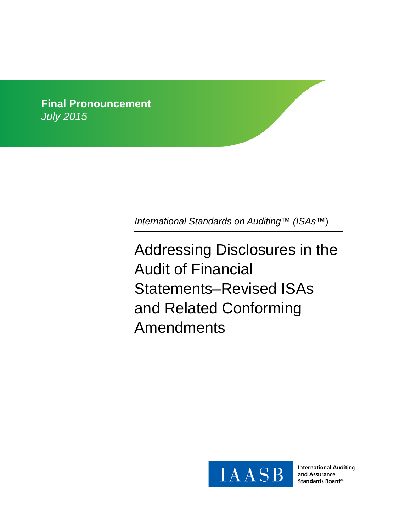

*International Standards on Auditing™ (ISAs™*)

Addressing Disclosures in the Audit of Financial Statements–Revised ISAs and Related Conforming Amendments



**International Auditing** and Assurance Standards Board®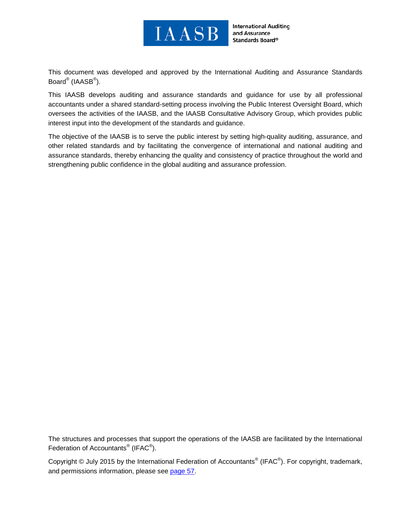

**International Auditing** and Assurance Standards Board®

This document was developed and approved by the International Auditing and Assurance Standards Board $^\circledR$  (IAASB $^\circledR$ ).

This IAASB develops auditing and assurance standards and guidance for use by all professional accountants under a shared standard-setting process involving the Public Interest Oversight Board, which oversees the activities of the IAASB, and the IAASB Consultative Advisory Group, which provides public interest input into the development of the standards and guidance.

The objective of the IAASB is to serve the public interest by setting high-quality auditing, assurance, and other related standards and by facilitating the convergence of international and national auditing and assurance standards, thereby enhancing the quality and consistency of practice throughout the world and strengthening public confidence in the global auditing and assurance profession.

The structures and processes that support the operations of the IAASB are facilitated by the International Federation of Accountants<sup>®</sup> (IFAC<sup>®</sup>).

Copyright © July 2015 by the International Federation of Accountants® (IFAC®). For copyright, trademark, and permissions information, please see [page 57.](#page-56-0)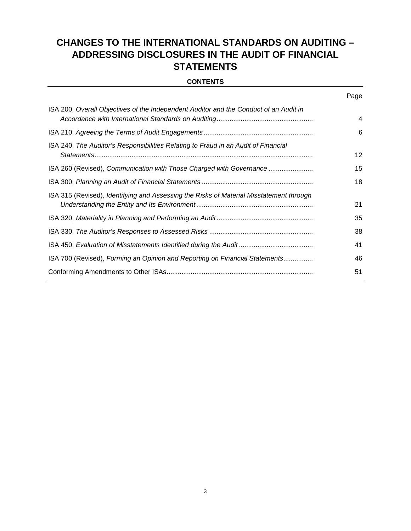# **CHANGES TO THE INTERNATIONAL STANDARDS ON AUDITING – ADDRESSING DISCLOSURES IN THE AUDIT OF FINANCIAL STATEMENTS**

#### **CONTENTS**

|                                                                                         | Page |
|-----------------------------------------------------------------------------------------|------|
| ISA 200, Overall Objectives of the Independent Auditor and the Conduct of an Audit in   | 4    |
|                                                                                         | 6    |
| ISA 240, The Auditor's Responsibilities Relating to Fraud in an Audit of Financial      | 12   |
| ISA 260 (Revised), Communication with Those Charged with Governance                     | 15   |
|                                                                                         | 18   |
| ISA 315 (Revised), Identifying and Assessing the Risks of Material Misstatement through | 21   |
|                                                                                         | 35   |
|                                                                                         | 38   |
|                                                                                         | 41   |
| ISA 700 (Revised), Forming an Opinion and Reporting on Financial Statements             | 46   |
|                                                                                         | 51   |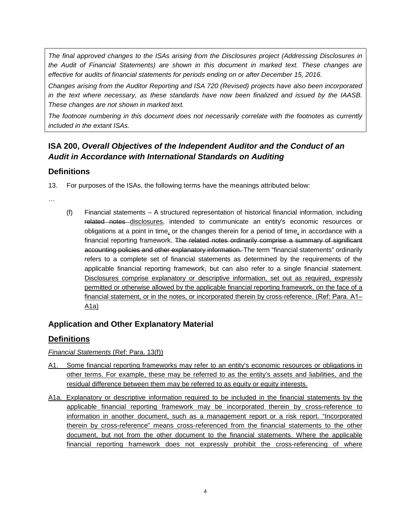*The final approved changes to the ISAs arising from the Disclosures project (Addressing Disclosures in the Audit of Financial Statements) are shown in this document in marked text. These changes are effective for audits of financial statements for periods ending on or after December 15, 2016.* 

*Changes arising from the Auditor Reporting and ISA 720 (Revised) projects have also been incorporated in the text where necessary, as these standards have now been finalized and issued by the IAASB. These changes are not shown in marked text.* 

*The footnote numbering in this document does not necessarily correlate with the footnotes as currently included in the extant ISAs.* 

# <span id="page-3-0"></span>**ISA 200,** *Overall Objectives of the Independent Auditor and the Conduct of an Audit in Accordance with International Standards on Auditing*

# **Definitions**

- 13. For purposes of the ISAs, the following terms have the meanings attributed below:
- …
- (f) Financial statements A structured representation of historical financial information, including related notes disclosures, intended to communicate an entity's economic resources or obligations at a point in time, or the changes therein for a period of time, in accordance with a financial reporting framework. The related notes ordinarily comprise a summary of significant accounting policies and other explanatory information. The term "financial statements" ordinarily refers to a complete set of financial statements as determined by the requirements of the applicable financial reporting framework, but can also refer to a single financial statement. Disclosures comprise explanatory or descriptive information, set out as required, expressly permitted or otherwise allowed by the applicable financial reporting framework, on the face of a financial statement, or in the notes, or incorporated therein by cross-reference. (Ref: Para. A1– A1a)

# **Application and Other Explanatory Material**

# **Definitions**

*Financial Statements* (Ref: Para. 13(f))

- A1. Some financial reporting frameworks may refer to an entity's economic resources or obligations in other terms. For example, these may be referred to as the entity's assets and liabilities, and the residual difference between them may be referred to as equity or equity interests.
- A1a. Explanatory or descriptive information required to be included in the financial statements by the applicable financial reporting framework may be incorporated therein by cross-reference to information in another document, such as a management report or a risk report. "Incorporated therein by cross-reference" means cross-referenced from the financial statements to the other document, but not from the other document to the financial statements. Where the applicable financial reporting framework does not expressly prohibit the cross-referencing of where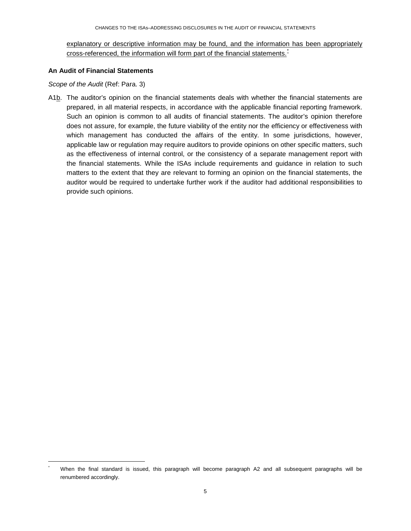explanatory or descriptive information may be found, and the information has been appropriately cross-referenced, the information will form part of the financial statements.<sup>[\\*](#page-4-0)</sup>

#### **An Audit of Financial Statements**

*Scope of the Audit* (Ref: Para. 3)

-

A1b. The auditor's opinion on the financial statements deals with whether the financial statements are prepared, in all material respects, in accordance with the applicable financial reporting framework. Such an opinion is common to all audits of financial statements. The auditor's opinion therefore does not assure, for example, the future viability of the entity nor the efficiency or effectiveness with which management has conducted the affairs of the entity. In some jurisdictions, however, applicable law or regulation may require auditors to provide opinions on other specific matters, such as the effectiveness of internal control, or the consistency of a separate management report with the financial statements. While the ISAs include requirements and guidance in relation to such matters to the extent that they are relevant to forming an opinion on the financial statements, the auditor would be required to undertake further work if the auditor had additional responsibilities to provide such opinions.

<span id="page-4-0"></span>When the final standard is issued, this paragraph will become paragraph A2 and all subsequent paragraphs will be renumbered accordingly.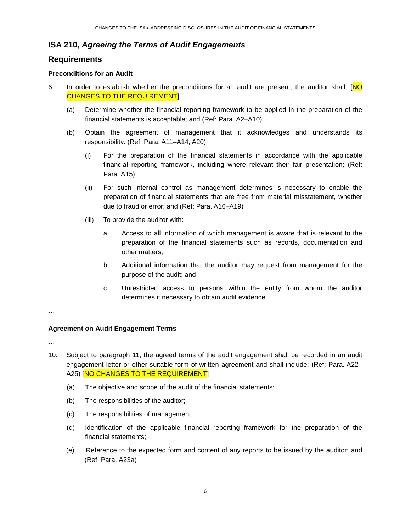## <span id="page-5-0"></span>**ISA 210,** *Agreeing the Terms of Audit Engagements*

## **Requirements**

#### **Preconditions for an Audit**

- 6. In order to establish whether the preconditions for an audit are present, the auditor shall: [NO CHANGES TO THE REQUIREMENT]
	- (a) Determine whether the financial reporting framework to be applied in the preparation of the financial statements is acceptable; and (Ref: Para. A2–A10)
	- (b) Obtain the agreement of management that it acknowledges and understands its responsibility: (Ref: Para. A11–A14, A20)
		- (i) For the preparation of the financial statements in accordance with the applicable financial reporting framework, including where relevant their fair presentation; (Ref: Para. A15)
		- (ii) For such internal control as management determines is necessary to enable the preparation of financial statements that are free from material misstatement, whether due to fraud or error; and (Ref: Para. A16–A19)
		- (iii) To provide the auditor with:
			- a. Access to all information of which management is aware that is relevant to the preparation of the financial statements such as records, documentation and other matters;
			- b. Additional information that the auditor may request from management for the purpose of the audit; and
			- c. Unrestricted access to persons within the entity from whom the auditor determines it necessary to obtain audit evidence.

#### …

### **Agreement on Audit Engagement Terms**

…

- 10. Subject to paragraph 11, the agreed terms of the audit engagement shall be recorded in an audit engagement letter or other suitable form of written agreement and shall include: (Ref: Para. A22– A25) [NO CHANGES TO THE REQUIREMENT]
	- (a) The objective and scope of the audit of the financial statements;
	- (b) The responsibilities of the auditor;
	- (c) The responsibilities of management;
	- (d) Identification of the applicable financial reporting framework for the preparation of the financial statements;
	- (e) Reference to the expected form and content of any reports to be issued by the auditor; and (Ref: Para. A23a)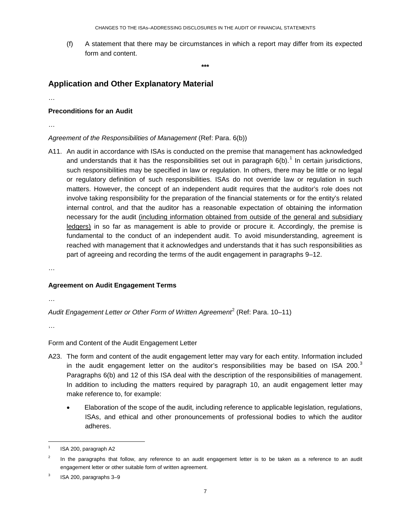(f) A statement that there may be circumstances in which a report may differ from its expected form and content.

**\*\*\***

## **Application and Other Explanatory Material**

…

#### **Preconditions for an Audit**

…

#### Agreement of the Responsibilities of Management (Ref: Para. 6(b))

A11. An audit in accordance with ISAs is conducted on the premise that management has acknowledged and understands that it has the responsibilities set out in paragraph  $6(b)$ .<sup>[1](#page-6-0)</sup> In certain jurisdictions, such responsibilities may be specified in law or regulation. In others, there may be little or no legal or regulatory definition of such responsibilities. ISAs do not override law or regulation in such matters. However, the concept of an independent audit requires that the auditor's role does not involve taking responsibility for the preparation of the financial statements or for the entity's related internal control, and that the auditor has a reasonable expectation of obtaining the information necessary for the audit (including information obtained from outside of the general and subsidiary ledgers) in so far as management is able to provide or procure it. Accordingly, the premise is fundamental to the conduct of an independent audit. To avoid misunderstanding, agreement is reached with management that it acknowledges and understands that it has such responsibilities as part of agreeing and recording the terms of the audit engagement in paragraphs 9–12.

…

#### **Agreement on Audit Engagement Terms**

…

Audit Engagement Letter or Other Form of Written Agreement<sup>[2](#page-6-1)</sup> (Ref: Para. 10–11)

…

-

#### Form and Content of the Audit Engagement Letter

- A23. The form and content of the audit engagement letter may vary for each entity. Information included in the audit engagement letter on the auditor's responsibilities may be based on ISA 200. $3$ Paragraphs 6(b) and 12 of this ISA deal with the description of the responsibilities of management. In addition to including the matters required by paragraph 10, an audit engagement letter may make reference to, for example:
	- Elaboration of the scope of the audit, including reference to applicable legislation, regulations, ISAs, and ethical and other pronouncements of professional bodies to which the auditor adheres.

<span id="page-6-0"></span><sup>1</sup> ISA 200, paragraph A2

<span id="page-6-1"></span> $2<sup>2</sup>$  In the paragraphs that follow, any reference to an audit engagement letter is to be taken as a reference to an audit engagement letter or other suitable form of written agreement.

<span id="page-6-2"></span> $3$  ISA 200, paragraphs  $3-9$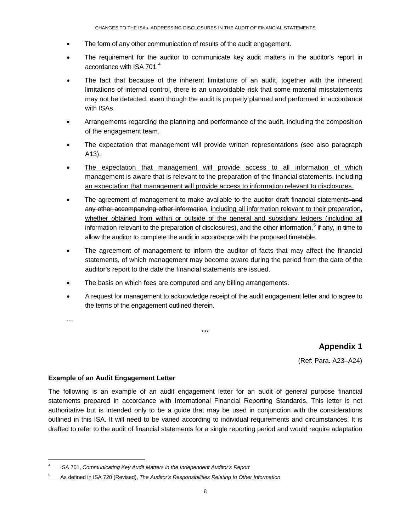- The form of any other communication of results of the audit engagement.
- The requirement for the auditor to communicate key audit matters in the auditor's report in accordance with ISA 701.[4](#page-7-0)
- The fact that because of the inherent limitations of an audit, together with the inherent limitations of internal control, there is an unavoidable risk that some material misstatements may not be detected, even though the audit is properly planned and performed in accordance with ISAs.
- Arrangements regarding the planning and performance of the audit, including the composition of the engagement team.
- The expectation that management will provide written representations (see also paragraph A13).
- The expectation that management will provide access to all information of which management is aware that is relevant to the preparation of the financial statements, including an expectation that management will provide access to information relevant to disclosures.
- The agreement of management to make available to the auditor draft financial statements-and any other accompanying other information, including all information relevant to their preparation, whether obtained from within or outside of the general and subsidiary ledgers (including all information relevant to the preparation of disclosures), and the other information, $5$  if any, in time to allow the auditor to complete the audit in accordance with the proposed timetable.
- The agreement of management to inform the auditor of facts that may affect the financial statements, of which management may become aware during the period from the date of the auditor's report to the date the financial statements are issued.
- The basis on which fees are computed and any billing arrangements.
- A request for management to acknowledge receipt of the audit engagement letter and to agree to the terms of the engagement outlined therein.

\*\*\*

…

-

# **Appendix 1**

(Ref: Para. A23–A24)

#### **Example of an Audit Engagement Letter**

The following is an example of an audit engagement letter for an audit of general purpose financial statements prepared in accordance with International Financial Reporting Standards. This letter is not authoritative but is intended only to be a guide that may be used in conjunction with the considerations outlined in this ISA. It will need to be varied according to individual requirements and circumstances. It is drafted to refer to the audit of financial statements for a single reporting period and would require adaptation

<span id="page-7-0"></span><sup>4</sup> ISA 701, *Communicating Key Audit Matters in the Independent Auditor's Report*

<span id="page-7-1"></span><sup>5</sup> As defined in ISA 720 (Revised), *The Auditor's Responsibilities Relating to Other Information*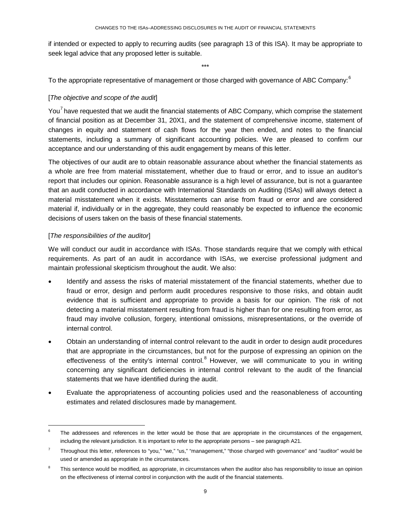if intended or expected to apply to recurring audits (see paragraph 13 of this ISA). It may be appropriate to seek legal advice that any proposed letter is suitable.

\*\*\*

To the appropriate representative of management or those charged with governance of ABC Company:<sup>[6](#page-8-0)</sup>

### [*The objective and scope of the audit*]

You' have requested that we audit the financial statements of ABC Company, which comprise the statement of financial position as at December 31, 20X1, and the statement of comprehensive income, statement of changes in equity and statement of cash flows for the year then ended, and notes to the financial statements, including a summary of significant accounting policies. We are pleased to confirm our acceptance and our understanding of this audit engagement by means of this letter.

The objectives of our audit are to obtain reasonable assurance about whether the financial statements as a whole are free from material misstatement, whether due to fraud or error, and to issue an auditor's report that includes our opinion. Reasonable assurance is a high level of assurance, but is not a guarantee that an audit conducted in accordance with International Standards on Auditing (ISAs) will always detect a material misstatement when it exists. Misstatements can arise from fraud or error and are considered material if, individually or in the aggregate, they could reasonably be expected to influence the economic decisions of users taken on the basis of these financial statements.

## [*The responsibilities of the auditor*]

-

We will conduct our audit in accordance with ISAs. Those standards require that we comply with ethical requirements. As part of an audit in accordance with ISAs, we exercise professional judgment and maintain professional skepticism throughout the audit. We also:

- Identify and assess the risks of material misstatement of the financial statements, whether due to fraud or error, design and perform audit procedures responsive to those risks, and obtain audit evidence that is sufficient and appropriate to provide a basis for our opinion. The risk of not detecting a material misstatement resulting from fraud is higher than for one resulting from error, as fraud may involve collusion, forgery, intentional omissions, misrepresentations, or the override of internal control.
- Obtain an understanding of internal control relevant to the audit in order to design audit procedures that are appropriate in the circumstances, but not for the purpose of expressing an opinion on the effectiveness of the entity's internal control.<sup>[8](#page-8-2)</sup> However, we will communicate to you in writing concerning any significant deficiencies in internal control relevant to the audit of the financial statements that we have identified during the audit.
- Evaluate the appropriateness of accounting policies used and the reasonableness of accounting estimates and related disclosures made by management.

<span id="page-8-0"></span>The addressees and references in the letter would be those that are appropriate in the circumstances of the engagement, including the relevant jurisdiction. It is important to refer to the appropriate persons – see paragraph A21.

<span id="page-8-1"></span><sup>7</sup> Throughout this letter, references to "you," "we," "us," "management," "those charged with governance" and "auditor" would be used or amended as appropriate in the circumstances.

<span id="page-8-2"></span><sup>&</sup>lt;sup>8</sup> This sentence would be modified, as appropriate, in circumstances when the auditor also has responsibility to issue an opinion on the effectiveness of internal control in conjunction with the audit of the financial statements.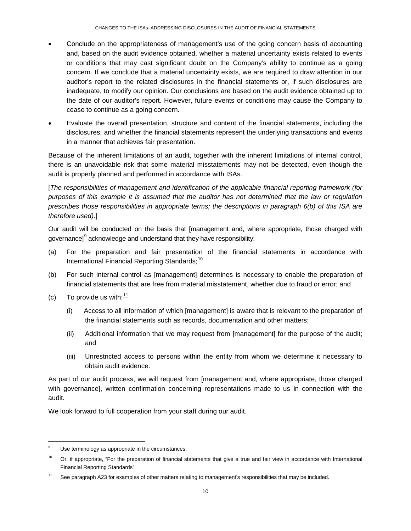- Conclude on the appropriateness of management's use of the going concern basis of accounting and, based on the audit evidence obtained, whether a material uncertainty exists related to events or conditions that may cast significant doubt on the Company's ability to continue as a going concern. If we conclude that a material uncertainty exists, we are required to draw attention in our auditor's report to the related disclosures in the financial statements or, if such disclosures are inadequate, to modify our opinion. Our conclusions are based on the audit evidence obtained up to the date of our auditor's report. However, future events or conditions may cause the Company to cease to continue as a going concern.
- Evaluate the overall presentation, structure and content of the financial statements, including the disclosures, and whether the financial statements represent the underlying transactions and events in a manner that achieves fair presentation.

Because of the inherent limitations of an audit, together with the inherent limitations of internal control, there is an unavoidable risk that some material misstatements may not be detected, even though the audit is properly planned and performed in accordance with ISAs.

[*The responsibilities of management and identification of the applicable financial reporting framework (for purposes of this example it is assumed that the auditor has not determined that the law or regulation prescribes those responsibilities in appropriate terms; the descriptions in paragraph 6(b) of this ISA are therefore used).*]

Our audit will be conducted on the basis that [management and, where appropriate, those charged with governance]<sup>[9](#page-9-0)</sup> acknowledge and understand that they have responsibility:

- (a) For the preparation and fair presentation of the financial statements in accordance with International Financial Reporting Standards;<sup>[10](#page-9-1)</sup>
- (b) For such internal control as [management] determines is necessary to enable the preparation of financial statements that are free from material misstatement, whether due to fraud or error; and
- (c) To provide us with:  $11$

-

- (i) Access to all information of which [management] is aware that is relevant to the preparation of the financial statements such as records, documentation and other matters;
- (ii) Additional information that we may request from [management] for the purpose of the audit; and
- (iii) Unrestricted access to persons within the entity from whom we determine it necessary to obtain audit evidence.

As part of our audit process, we will request from [management and, where appropriate, those charged with governance], written confirmation concerning representations made to us in connection with the audit.

We look forward to full cooperation from your staff during our audit.

<span id="page-9-0"></span>Use terminology as appropriate in the circumstances.

<span id="page-9-1"></span> $10$  Or, if appropriate, "For the preparation of financial statements that give a true and fair view in accordance with International Financial Reporting Standards"

<span id="page-9-2"></span><sup>&</sup>lt;sup>11</sup> See paragraph A23 for examples of other matters relating to management's responsibilities that may be included.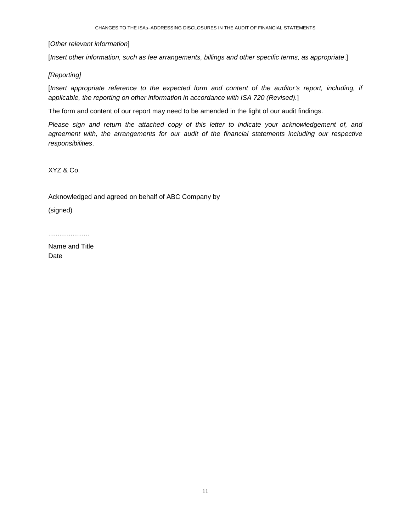[*Other relevant information*]

[*Insert other information, such as fee arrangements, billings and other specific terms, as appropriate*.]

#### *[Reporting]*

[*Insert appropriate reference to the expected form and content of the auditor's report, including, if applicable, the reporting on other information in accordance with ISA 720 (Revised).*]

The form and content of our report may need to be amended in the light of our audit findings.

*Please sign and return the attached copy of this letter to indicate your acknowledgement of, and agreement with, the arrangements for our audit of the financial statements including our respective responsibilities*.

XYZ & Co.

Acknowledged and agreed on behalf of ABC Company by

(signed)

......................

Name and Title Date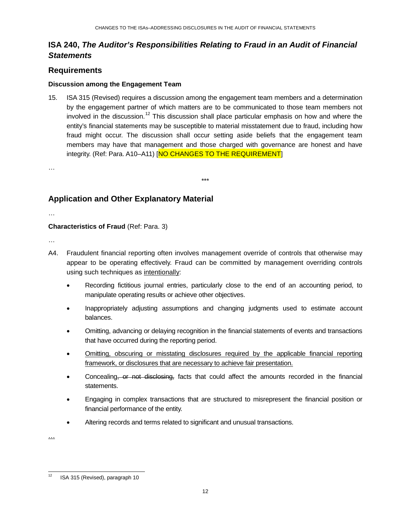# <span id="page-11-0"></span>**ISA 240,** *The Auditor's Responsibilities Relating to Fraud in an Audit of Financial Statements*

# **Requirements**

## **Discussion among the Engagement Team**

15. ISA 315 (Revised) requires a discussion among the engagement team members and a determination by the engagement partner of which matters are to be communicated to those team members not involved in the discussion.<sup>[12](#page-11-1)</sup> This discussion shall place particular emphasis on how and where the entity's financial statements may be susceptible to material misstatement due to fraud, including how fraud might occur. The discussion shall occur setting aside beliefs that the engagement team members may have that management and those charged with governance are honest and have integrity. (Ref: Para. A10-A11) [NO CHANGES TO THE REQUIREMENT]

\*\*\*

…

# **Application and Other Explanatory Material**

…

## **Characteristics of Fraud** (Ref: Para. 3)

…

- A4. Fraudulent financial reporting often involves management override of controls that otherwise may appear to be operating effectively. Fraud can be committed by management overriding controls using such techniques as intentionally:
	- Recording fictitious journal entries, particularly close to the end of an accounting period, to manipulate operating results or achieve other objectives.
	- Inappropriately adjusting assumptions and changing judgments used to estimate account balances.
	- Omitting, advancing or delaying recognition in the financial statements of events and transactions that have occurred during the reporting period.
	- Omitting, obscuring or misstating disclosures required by the applicable financial reporting framework, or disclosures that are necessary to achieve fair presentation.
	- Concealing, or not disclosing, facts that could affect the amounts recorded in the financial statements.
	- Engaging in complex transactions that are structured to misrepresent the financial position or financial performance of the entity.
	- Altering records and terms related to significant and unusual transactions.

…

<span id="page-11-1"></span><sup>12</sup> ISA 315 (Revised), paragraph 10  $12$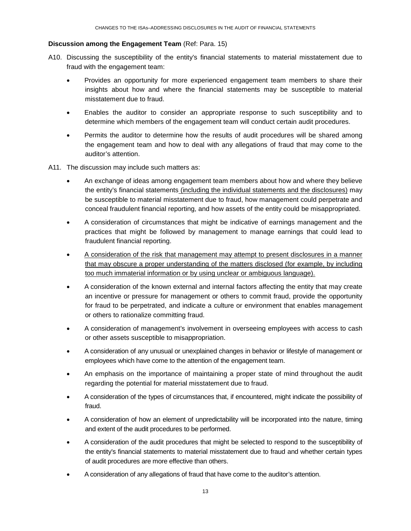### **Discussion among the Engagement Team** (Ref: Para. 15)

- A10. Discussing the susceptibility of the entity's financial statements to material misstatement due to fraud with the engagement team:
	- Provides an opportunity for more experienced engagement team members to share their insights about how and where the financial statements may be susceptible to material misstatement due to fraud.
	- Enables the auditor to consider an appropriate response to such susceptibility and to determine which members of the engagement team will conduct certain audit procedures.
	- Permits the auditor to determine how the results of audit procedures will be shared among the engagement team and how to deal with any allegations of fraud that may come to the auditor's attention.
- A11. The discussion may include such matters as:
	- An exchange of ideas among engagement team members about how and where they believe the entity's financial statements (including the individual statements and the disclosures) may be susceptible to material misstatement due to fraud, how management could perpetrate and conceal fraudulent financial reporting, and how assets of the entity could be misappropriated.
	- A consideration of circumstances that might be indicative of earnings management and the practices that might be followed by management to manage earnings that could lead to fraudulent financial reporting.
	- A consideration of the risk that management may attempt to present disclosures in a manner that may obscure a proper understanding of the matters disclosed (for example, by including too much immaterial information or by using unclear or ambiguous language).
	- A consideration of the known external and internal factors affecting the entity that may create an incentive or pressure for management or others to commit fraud, provide the opportunity for fraud to be perpetrated, and indicate a culture or environment that enables management or others to rationalize committing fraud.
	- A consideration of management's involvement in overseeing employees with access to cash or other assets susceptible to misappropriation.
	- A consideration of any unusual or unexplained changes in behavior or lifestyle of management or employees which have come to the attention of the engagement team.
	- An emphasis on the importance of maintaining a proper state of mind throughout the audit regarding the potential for material misstatement due to fraud.
	- A consideration of the types of circumstances that, if encountered, might indicate the possibility of fraud.
	- A consideration of how an element of unpredictability will be incorporated into the nature, timing and extent of the audit procedures to be performed.
	- A consideration of the audit procedures that might be selected to respond to the susceptibility of the entity's financial statements to material misstatement due to fraud and whether certain types of audit procedures are more effective than others.
	- A consideration of any allegations of fraud that have come to the auditor's attention.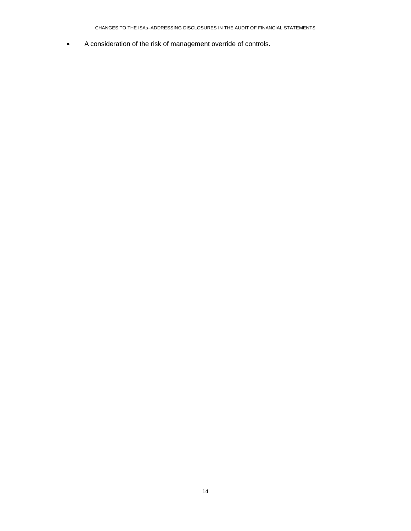CHANGES TO THE ISAs–ADDRESSING DISCLOSURES IN THE AUDIT OF FINANCIAL STATEMENTS

• A consideration of the risk of management override of controls.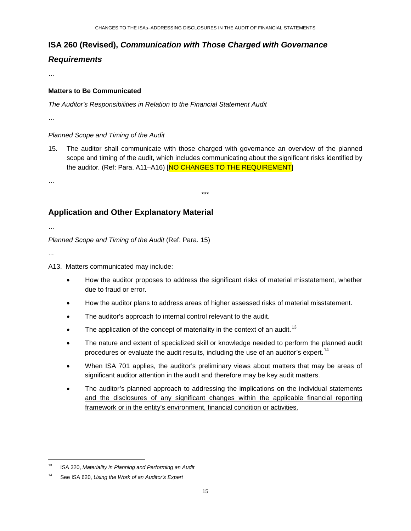# <span id="page-14-0"></span>**ISA 260 (Revised),** *Communication with Those Charged with Governance*

## *Requirements*

…

#### **Matters to Be Communicated**

*The Auditor's Responsibilities in Relation to the Financial Statement Audit*

…

#### *Planned Scope and Timing of the Audit*

15. The auditor shall communicate with those charged with governance an overview of the planned scope and timing of the audit, which includes communicating about the significant risks identified by the auditor. (Ref: Para. A11-A16) [NO CHANGES TO THE REQUIREMENT]

\*\*\*

…

# **Application and Other Explanatory Material**

…

*Planned Scope and Timing of the Audit* (Ref: Para. 15)

...

-

A13. Matters communicated may include:

- How the auditor proposes to address the significant risks of material misstatement, whether due to fraud or error.
- How the auditor plans to address areas of higher assessed risks of material misstatement.
- The auditor's approach to internal control relevant to the audit.
- The application of the concept of materiality in the context of an audit.<sup>[13](#page-14-1)</sup>
- The nature and extent of specialized skill or knowledge needed to perform the planned audit procedures or evaluate the audit results, including the use of an auditor's expert.<sup>[14](#page-14-2)</sup>
- When ISA 701 applies, the auditor's preliminary views about matters that may be areas of significant auditor attention in the audit and therefore may be key audit matters.
- The auditor's planned approach to addressing the implications on the individual statements and the disclosures of any significant changes within the applicable financial reporting framework or in the entity's environment, financial condition or activities.

<span id="page-14-1"></span><sup>13</sup> ISA 320, *Materiality in Planning and Performing an Audit*

<span id="page-14-2"></span><sup>14</sup> See ISA 620, *Using the Work of an Auditor's Expert*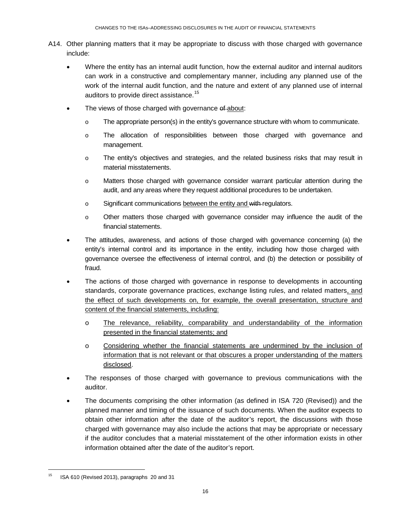- A14. Other planning matters that it may be appropriate to discuss with those charged with governance include:
	- Where the entity has an internal audit function, how the external auditor and internal auditors can work in a constructive and complementary manner, including any planned use of the work of the internal audit function, and the nature and extent of any planned use of internal auditors to provide direct assistance.<sup>[15](#page-15-0)</sup>
	- The views of those charged with governance of about:
		- o The appropriate person(s) in the entity's governance structure with whom to communicate.
		- o The allocation of responsibilities between those charged with governance and management.
		- o The entity's objectives and strategies, and the related business risks that may result in material misstatements.
		- o Matters those charged with governance consider warrant particular attention during the audit, and any areas where they request additional procedures to be undertaken.
		- o Significant communications between the entity and with regulators.
		- o Other matters those charged with governance consider may influence the audit of the financial statements.
	- The attitudes, awareness, and actions of those charged with governance concerning (a) the entity's internal control and its importance in the entity, including how those charged with governance oversee the effectiveness of internal control, and (b) the detection or possibility of fraud.
	- The actions of those charged with governance in response to developments in accounting standards, corporate governance practices, exchange listing rules, and related matters, and the effect of such developments on, for example, the overall presentation, structure and content of the financial statements, including:
		- o The relevance, reliability, comparability and understandability of the information presented in the financial statements; and
		- o Considering whether the financial statements are undermined by the inclusion of information that is not relevant or that obscures a proper understanding of the matters disclosed.
	- The responses of those charged with governance to previous communications with the auditor.
	- The documents comprising the other information (as defined in ISA 720 (Revised)) and the planned manner and timing of the issuance of such documents. When the auditor expects to obtain other information after the date of the auditor's report, the discussions with those charged with governance may also include the actions that may be appropriate or necessary if the auditor concludes that a material misstatement of the other information exists in other information obtained after the date of the auditor's report.

<span id="page-15-0"></span><sup>15</sup> ISA 610 (Revised 2013), paragraphs 20 and 31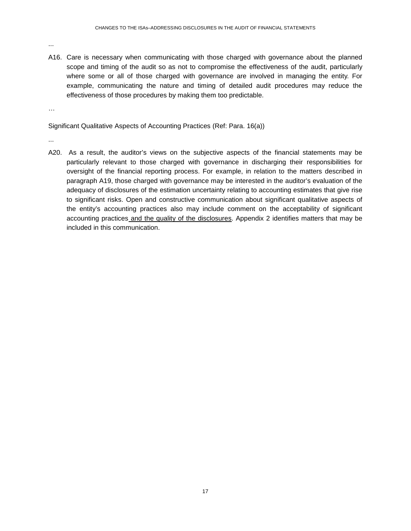...

A16. Care is necessary when communicating with those charged with governance about the planned scope and timing of the audit so as not to compromise the effectiveness of the audit, particularly where some or all of those charged with governance are involved in managing the entity. For example, communicating the nature and timing of detailed audit procedures may reduce the effectiveness of those procedures by making them too predictable.

…

Significant Qualitative Aspects of Accounting Practices (Ref: Para. 16(a))

...

A20. As a result, the auditor's views on the subjective aspects of the financial statements may be particularly relevant to those charged with governance in discharging their responsibilities for oversight of the financial reporting process. For example, in relation to the matters described in paragraph A19, those charged with governance may be interested in the auditor's evaluation of the adequacy of disclosures of the estimation uncertainty relating to accounting estimates that give rise to significant risks. Open and constructive communication about significant qualitative aspects of the entity's accounting practices also may include comment on the acceptability of significant accounting practices and the quality of the disclosures. Appendix 2 identifies matters that may be included in this communication.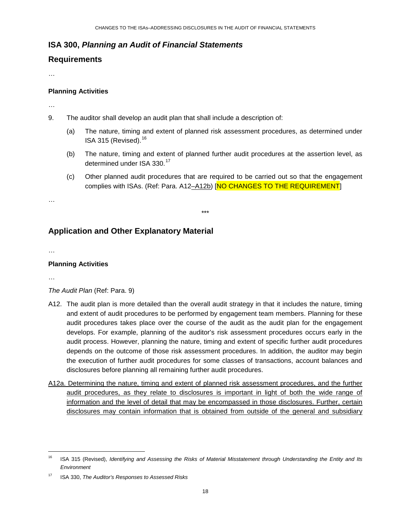## <span id="page-17-0"></span>**ISA 300,** *Planning an Audit of Financial Statements*

## **Requirements**

…

#### **Planning Activities**

…

- 9. The auditor shall develop an audit plan that shall include a description of:
	- (a) The nature, timing and extent of planned risk assessment procedures, as determined under ISA 315 (Revised). $16$
	- (b) The nature, timing and extent of planned further audit procedures at the assertion level, as determined under ISA 330.<sup>17</sup>
	- (c) Other planned audit procedures that are required to be carried out so that the engagement complies with ISAs. (Ref: Para. A12-A12b) [NO CHANGES TO THE REQUIREMENT]

\*\*\*

…

# **Application and Other Explanatory Material**

…

#### **Planning Activities**

…

-

*The Audit Plan* (Ref: Para. 9)

- A12. The audit plan is more detailed than the overall audit strategy in that it includes the nature, timing and extent of audit procedures to be performed by engagement team members. Planning for these audit procedures takes place over the course of the audit as the audit plan for the engagement develops. For example, planning of the auditor's risk assessment procedures occurs early in the audit process. However, planning the nature, timing and extent of specific further audit procedures depends on the outcome of those risk assessment procedures. In addition, the auditor may begin the execution of further audit procedures for some classes of transactions, account balances and disclosures before planning all remaining further audit procedures.
- A12a. Determining the nature, timing and extent of planned risk assessment procedures, and the further audit procedures, as they relate to disclosures is important in light of both the wide range of information and the level of detail that may be encompassed in those disclosures. Further, certain disclosures may contain information that is obtained from outside of the general and subsidiary

<span id="page-17-1"></span><sup>16</sup> ISA 315 (Revised), *Identifying and Assessing the Risks of Material Misstatement through Understanding the Entity and Its Environment*

<span id="page-17-2"></span><sup>17</sup> ISA 330, *The Auditor's Responses to Assessed Risks*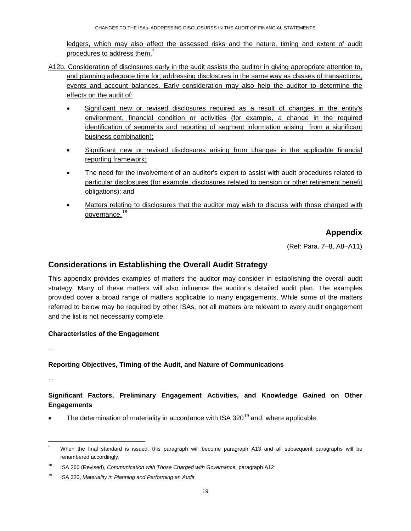ledgers, which may also affect the assessed risks and the nature, timing and extent of audit procedures to address them. $\frac{1}{x}$ 

- A12b. Consideration of disclosures early in the audit assists the auditor in giving appropriate attention to, and planning adequate time for, addressing disclosures in the same way as classes of transactions, events and account balances. Early consideration may also help the auditor to determine the effects on the audit of:
	- Significant new or revised disclosures required as a result of changes in the entity's environment, financial condition or activities (for example, a change in the required identification of segments and reporting of segment information arising from a significant business combination);
	- Significant new or revised disclosures arising from changes in the applicable financial reporting framework;
	- The need for the involvement of an auditor's expert to assist with audit procedures related to particular disclosures (for example, disclosures related to pension or other retirement benefit obligations); and
	- Matters relating to disclosures that the auditor may wish to discuss with those charged with governance. $\frac{18}{1}$  $\frac{18}{1}$  $\frac{18}{1}$

# **Appendix**

(Ref: Para. 7–8, A8–A11)

## **Considerations in Establishing the Overall Audit Strategy**

This appendix provides examples of matters the auditor may consider in establishing the overall audit strategy. Many of these matters will also influence the auditor's detailed audit plan. The examples provided cover a broad range of matters applicable to many engagements. While some of the matters referred to below may be required by other ISAs, not all matters are relevant to every audit engagement and the list is not necessarily complete.

### **Characteristics of the Engagement**

...

## **Reporting Objectives, Timing of the Audit, and Nature of Communications**

...

-

**Significant Factors, Preliminary Engagement Activities, and Knowledge Gained on Other Engagements** 

The determination of materiality in accordance with ISA 320 $^{19}$  $^{19}$  $^{19}$  and, where applicable:

<span id="page-18-0"></span>When the final standard is issued, this paragraph will become paragraph A13 and all subsequent paragraphs will be renumbered accordingly.

<span id="page-18-1"></span><sup>18</sup> ISA 260 (Revised), *Communication with Those Charged with Governance,* paragraph A12

<span id="page-18-2"></span><sup>19</sup> ISA 320, *Materiality in Planning and Performing an Audit*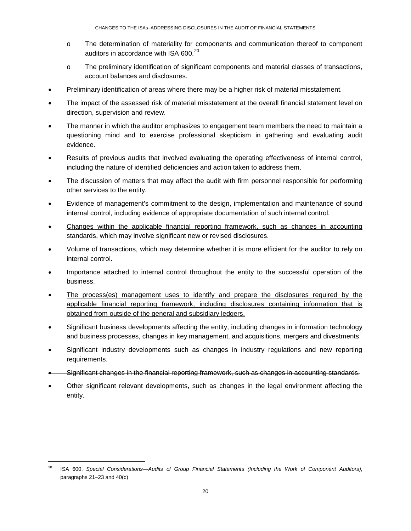- o The determination of materiality for components and communication thereof to component auditors in accordance with ISA 600.<sup>[20](#page-19-0)</sup>
- o The preliminary identification of significant components and material classes of transactions, account balances and disclosures.
- Preliminary identification of areas where there may be a higher risk of material misstatement.
- The impact of the assessed risk of material misstatement at the overall financial statement level on direction, supervision and review.
- The manner in which the auditor emphasizes to engagement team members the need to maintain a questioning mind and to exercise professional skepticism in gathering and evaluating audit evidence.
- Results of previous audits that involved evaluating the operating effectiveness of internal control, including the nature of identified deficiencies and action taken to address them.
- The discussion of matters that may affect the audit with firm personnel responsible for performing other services to the entity.
- Evidence of management's commitment to the design, implementation and maintenance of sound internal control, including evidence of appropriate documentation of such internal control.
- Changes within the applicable financial reporting framework, such as changes in accounting standards, which may involve significant new or revised disclosures.
- Volume of transactions, which may determine whether it is more efficient for the auditor to rely on internal control.
- Importance attached to internal control throughout the entity to the successful operation of the business.
- The process(es) management uses to identify and prepare the disclosures required by the applicable financial reporting framework, including disclosures containing information that is obtained from outside of the general and subsidiary ledgers.
- Significant business developments affecting the entity, including changes in information technology and business processes, changes in key management, and acquisitions, mergers and divestments.
- Significant industry developments such as changes in industry regulations and new reporting requirements.
- Significant changes in the financial reporting framework, such as changes in accounting standards.
- Other significant relevant developments, such as changes in the legal environment affecting the entity.

<span id="page-19-0"></span><sup>20</sup> ISA 600, *Special Considerations—Audits of Group Financial Statements (Including the Work of Component Auditors)*, paragraphs 21–23 and 40(c)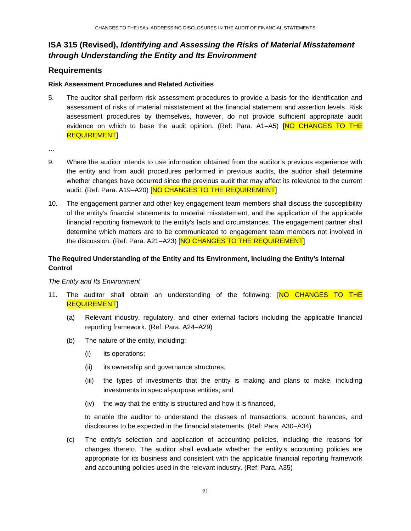# <span id="page-20-0"></span>**ISA 315 (Revised),** *Identifying and Assessing the Risks of Material Misstatement through Understanding the Entity and Its Environment*

## **Requirements**

#### **Risk Assessment Procedures and Related Activities**

5. The auditor shall perform risk assessment procedures to provide a basis for the identification and assessment of risks of material misstatement at the financial statement and assertion levels. Risk assessment procedures by themselves, however, do not provide sufficient appropriate audit evidence on which to base the audit opinion. (Ref: Para. A1–A5) [NO CHANGES TO THE REQUIREMENT]

…

- 9. Where the auditor intends to use information obtained from the auditor's previous experience with the entity and from audit procedures performed in previous audits, the auditor shall determine whether changes have occurred since the previous audit that may affect its relevance to the current audit. (Ref: Para. A19-A20) [NO CHANGES TO THE REQUIREMENT]
- 10. The engagement partner and other key engagement team members shall discuss the susceptibility of the entity's financial statements to material misstatement, and the application of the applicable financial reporting framework to the entity's facts and circumstances. The engagement partner shall determine which matters are to be communicated to engagement team members not involved in the discussion. (Ref: Para. A21-A23) [NO CHANGES TO THE REQUIREMENT]

## **The Required Understanding of the Entity and Its Environment, Including the Entity's Internal Control**

#### *The Entity and Its Environment*

- 11. The auditor shall obtain an understanding of the following: [NO CHANGES TO THE REQUIREMENT]
	- (a) Relevant industry, regulatory, and other external factors including the applicable financial reporting framework. (Ref: Para. A24–A29)
	- (b) The nature of the entity, including:
		- (i) its operations;
		- (ii) its ownership and governance structures;
		- (iii) the types of investments that the entity is making and plans to make, including investments in special-purpose entities; and
		- (iv) the way that the entity is structured and how it is financed,

to enable the auditor to understand the classes of transactions, account balances, and disclosures to be expected in the financial statements. (Ref: Para. A30–A34)

(c) The entity's selection and application of accounting policies, including the reasons for changes thereto. The auditor shall evaluate whether the entity's accounting policies are appropriate for its business and consistent with the applicable financial reporting framework and accounting policies used in the relevant industry. (Ref: Para. A35)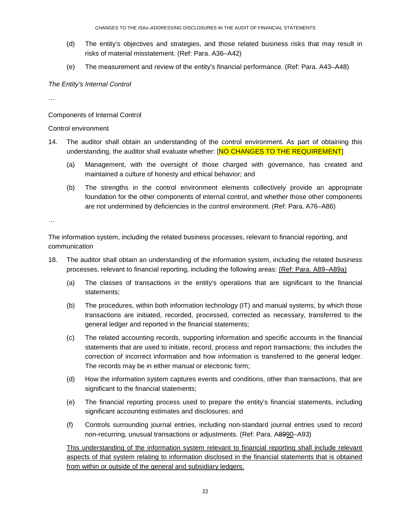- (d) The entity's objectives and strategies, and those related business risks that may result in risks of material misstatement. (Ref: Para. A36–A42)
- (e) The measurement and review of the entity's financial performance. (Ref: Para. A43–A48)

#### *The Entity's Internal Control*

…

Components of Internal Control

#### Control environment

- 14. The auditor shall obtain an understanding of the control environment. As part of obtaining this understanding, the auditor shall evaluate whether: [NO CHANGES TO THE REQUIREMENT]
	- (a) Management, with the oversight of those charged with governance, has created and maintained a culture of honesty and ethical behavior; and
	- (b) The strengths in the control environment elements collectively provide an appropriate foundation for the other components of internal control, and whether those other components are not undermined by deficiencies in the control environment. (Ref: Para. A76–A86)

…

The information system, including the related business processes, relevant to financial reporting, and communication

- 18. The auditor shall obtain an understanding of the information system, including the related business processes, relevant to financial reporting, including the following areas: (Ref: Para. A89–A89a)
	- (a) The classes of transactions in the entity's operations that are significant to the financial statements;
	- (b) The procedures, within both information technology (IT) and manual systems, by which those transactions are initiated, recorded, processed, corrected as necessary, transferred to the general ledger and reported in the financial statements;
	- (c) The related accounting records, supporting information and specific accounts in the financial statements that are used to initiate, record, process and report transactions; this includes the correction of incorrect information and how information is transferred to the general ledger. The records may be in either manual or electronic form;
	- (d) How the information system captures events and conditions, other than transactions, that are significant to the financial statements;
	- (e) The financial reporting process used to prepare the entity's financial statements, including significant accounting estimates and disclosures; and
	- (f) Controls surrounding journal entries, including non-standard journal entries used to record non-recurring, unusual transactions or adjustments. (Ref: Para. A8990–A93)

This understanding of the information system relevant to financial reporting shall include relevant aspects of that system relating to information disclosed in the financial statements that is obtained from within or outside of the general and subsidiary ledgers.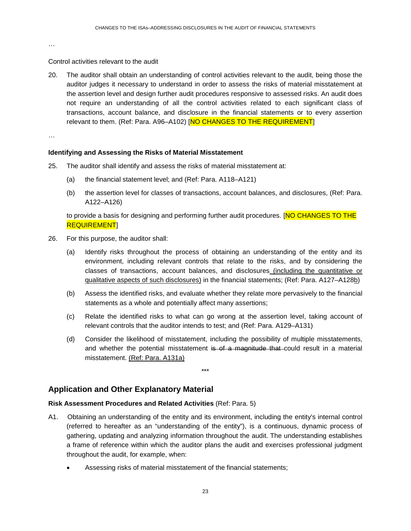…

#### Control activities relevant to the audit

20. The auditor shall obtain an understanding of control activities relevant to the audit, being those the auditor judges it necessary to understand in order to assess the risks of material misstatement at the assertion level and design further audit procedures responsive to assessed risks. An audit does not require an understanding of all the control activities related to each significant class of transactions, account balance, and disclosure in the financial statements or to every assertion relevant to them. (Ref: Para. A96-A102) [NO CHANGES TO THE REQUIREMENT]

…

#### **Identifying and Assessing the Risks of Material Misstatement**

- 25. The auditor shall identify and assess the risks of material misstatement at:
	- (a) the financial statement level; and (Ref: Para. A118–A121)
	- (b) the assertion level for classes of transactions, account balances, and disclosures, (Ref: Para. A122–A126)

to provide a basis for designing and performing further audit procedures. [NO CHANGES TO THE REQUIREMENT]

- 26. For this purpose, the auditor shall:
	- (a) Identify risks throughout the process of obtaining an understanding of the entity and its environment, including relevant controls that relate to the risks, and by considering the classes of transactions, account balances, and disclosures (including the quantitative or qualitative aspects of such disclosures) in the financial statements; (Ref: Para. A127-A128b)
	- (b) Assess the identified risks, and evaluate whether they relate more pervasively to the financial statements as a whole and potentially affect many assertions;
	- (c) Relate the identified risks to what can go wrong at the assertion level, taking account of relevant controls that the auditor intends to test; and (Ref: Para. A129–A131)
	- (d) Consider the likelihood of misstatement, including the possibility of multiple misstatements, and whether the potential misstatement is of a magnitude that could result in a material misstatement. (Ref: Para. A131a)

## **Application and Other Explanatory Material**

#### **Risk Assessment Procedures and Related Activities** (Ref: Para. 5)

A1. Obtaining an understanding of the entity and its environment, including the entity's internal control (referred to hereafter as an "understanding of the entity"), is a continuous, dynamic process of gathering, updating and analyzing information throughout the audit. The understanding establishes a frame of reference within which the auditor plans the audit and exercises professional judgment throughout the audit, for example, when:

\*\*\*

Assessing risks of material misstatement of the financial statements;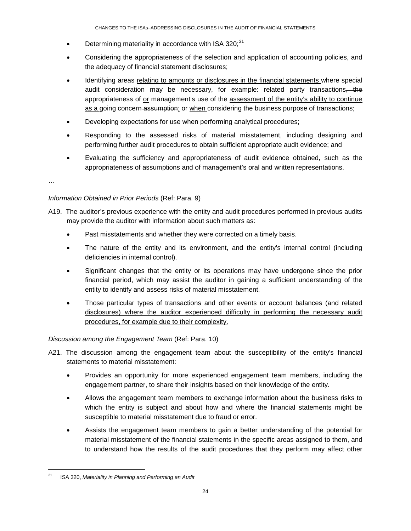- Determining materiality in accordance with ISA 320:<sup>[21](#page-23-0)</sup>
- Considering the appropriateness of the selection and application of accounting policies, and the adequacy of financial statement disclosures;
- Identifying areas relating to amounts or disclosures in the financial statements where special audit consideration may be necessary, for example: related party transactions, the appropriateness of or management's use of the assessment of the entity's ability to continue as a going concern-assumption; or when considering the business purpose of transactions;
- Developing expectations for use when performing analytical procedures;
- Responding to the assessed risks of material misstatement, including designing and performing further audit procedures to obtain sufficient appropriate audit evidence; and
- Evaluating the sufficiency and appropriateness of audit evidence obtained, such as the appropriateness of assumptions and of management's oral and written representations.

…

-

### *Information Obtained in Prior Periods* (Ref: Para. 9)

- A19. The auditor's previous experience with the entity and audit procedures performed in previous audits may provide the auditor with information about such matters as:
	- Past misstatements and whether they were corrected on a timely basis.
	- The nature of the entity and its environment, and the entity's internal control (including deficiencies in internal control).
	- Significant changes that the entity or its operations may have undergone since the prior financial period, which may assist the auditor in gaining a sufficient understanding of the entity to identify and assess risks of material misstatement.
	- Those particular types of transactions and other events or account balances (and related disclosures) where the auditor experienced difficulty in performing the necessary audit procedures, for example due to their complexity.

### *Discussion among the Engagement Team* (Ref: Para. 10)

- A21. The discussion among the engagement team about the susceptibility of the entity's financial statements to material misstatement:
	- Provides an opportunity for more experienced engagement team members, including the engagement partner, to share their insights based on their knowledge of the entity.
	- Allows the engagement team members to exchange information about the business risks to which the entity is subject and about how and where the financial statements might be susceptible to material misstatement due to fraud or error.
	- Assists the engagement team members to gain a better understanding of the potential for material misstatement of the financial statements in the specific areas assigned to them, and to understand how the results of the audit procedures that they perform may affect other

<span id="page-23-0"></span><sup>21</sup> ISA 320, *Materiality in Planning and Performing an Audit*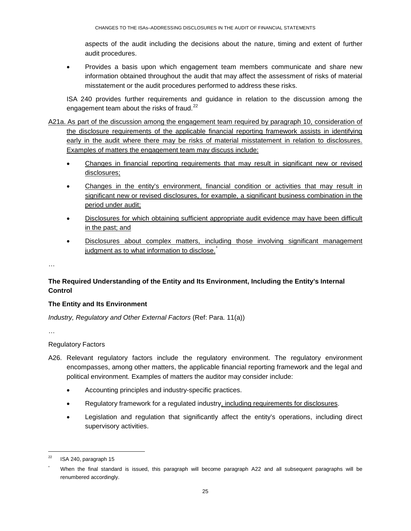aspects of the audit including the decisions about the nature, timing and extent of further audit procedures.

• Provides a basis upon which engagement team members communicate and share new information obtained throughout the audit that may affect the assessment of risks of material misstatement or the audit procedures performed to address these risks.

ISA 240 provides further requirements and guidance in relation to the discussion among the engagement team about the risks of fraud. $^{22}$  $^{22}$  $^{22}$ 

- A21a. As part of the discussion among the engagement team required by paragraph 10, consideration of the disclosure requirements of the applicable financial reporting framework assists in identifying early in the audit where there may be risks of material misstatement in relation to disclosures. Examples of matters the engagement team may discuss include:
	- Changes in financial reporting requirements that may result in significant new or revised disclosures;
	- Changes in the entity's environment, financial condition or activities that may result in significant new or revised disclosures, for example, a significant business combination in the period under audit;
	- Disclosures for which obtaining sufficient appropriate audit evidence may have been difficult in the past; and
	- Disclosures about complex matters, including those involving significant management judgment as to what information to disclose.

…

## **The Required Understanding of the Entity and Its Environment, Including the Entity's Internal Control**

### **The Entity and Its Environment**

*Industry, Regulatory and Other External Factors* (Ref: Para. 11(a))

…

-

### Regulatory Factors

- A26. Relevant regulatory factors include the regulatory environment. The regulatory environment encompasses, among other matters, the applicable financial reporting framework and the legal and political environment. Examples of matters the auditor may consider include:
	- Accounting principles and industry-specific practices.
	- Regulatory framework for a regulated industry, including requirements for disclosures.
	- Legislation and regulation that significantly affect the entity's operations, including direct supervisory activities.

<span id="page-24-0"></span> $22$  ISA 240, paragraph 15

<span id="page-24-1"></span>When the final standard is issued, this paragraph will become paragraph A22 and all subsequent paragraphs will be renumbered accordingly.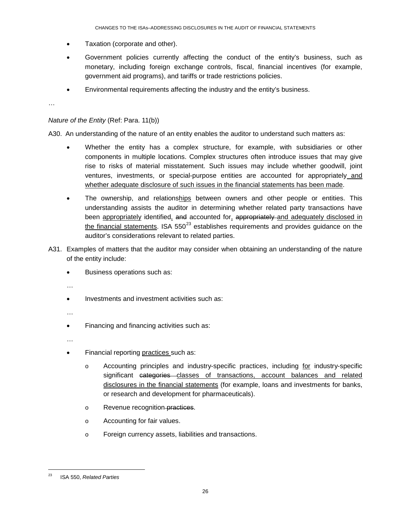- Taxation (corporate and other).
- Government policies currently affecting the conduct of the entity's business, such as monetary, including foreign exchange controls, fiscal, financial incentives (for example, government aid programs), and tariffs or trade restrictions policies.
- Environmental requirements affecting the industry and the entity's business.

…

## *Nature of the Entity* (Ref: Para. 11(b))

A30. An understanding of the nature of an entity enables the auditor to understand such matters as:

- Whether the entity has a complex structure, for example, with subsidiaries or other components in multiple locations. Complex structures often introduce issues that may give rise to risks of material misstatement. Such issues may include whether goodwill, joint ventures, investments, or special-purpose entities are accounted for appropriately and whether adequate disclosure of such issues in the financial statements has been made.
- The ownership, and relationships between owners and other people or entities. This understanding assists the auditor in determining whether related party transactions have been appropriately identified, and accounted for, appropriately and adequately disclosed in the financial statements. ISA  $550^{23}$  $550^{23}$  $550^{23}$  establishes requirements and provides guidance on the auditor's considerations relevant to related parties.
- A31. Examples of matters that the auditor may consider when obtaining an understanding of the nature of the entity include:
	- Business operations such as:
	- …
	- Investments and investment activities such as:
	- …
	- Financing and financing activities such as:

…

- Financial reporting practices such as:
	- o Accounting principles and industry-specific practices, including for industry-specific significant categories classes of transactions, account balances and related disclosures in the financial statements (for example, loans and investments for banks, or research and development for pharmaceuticals).
	- o Revenue recognition practices.
	- o Accounting for fair values.
	- o Foreign currency assets, liabilities and transactions.

<span id="page-25-0"></span><sup>23</sup> ISA 550, *Related Parties*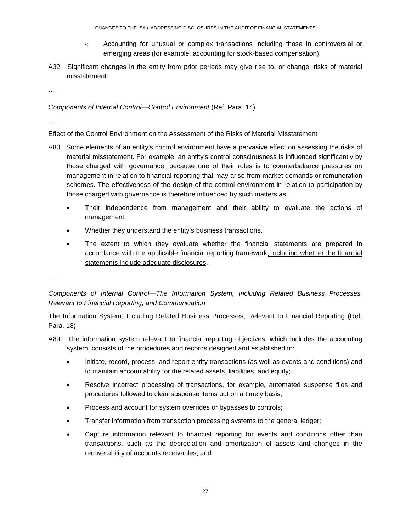- o Accounting for unusual or complex transactions including those in controversial or emerging areas (for example, accounting for stock-based compensation).
- A32. Significant changes in the entity from prior periods may give rise to, or change, risks of material misstatement.

…

### *Components of Internal Control—Control Environment* (Ref: Para. 14)

…

Effect of the Control Environment on the Assessment of the Risks of Material Misstatement

- A80. Some elements of an entity's control environment have a pervasive effect on assessing the risks of material misstatement. For example, an entity's control consciousness is influenced significantly by those charged with governance, because one of their roles is to counterbalance pressures on management in relation to financial reporting that may arise from market demands or remuneration schemes. The effectiveness of the design of the control environment in relation to participation by those charged with governance is therefore influenced by such matters as:
	- Their independence from management and their ability to evaluate the actions of management.
	- Whether they understand the entity's business transactions.
	- The extent to which they evaluate whether the financial statements are prepared in accordance with the applicable financial reporting framework, including whether the financial statements include adequate disclosures.

…

*Components of Internal Control—The Information System, Including Related Business Processes, Relevant to Financial Reporting, and Communication* 

The Information System, Including Related Business Processes, Relevant to Financial Reporting (Ref: Para. 18)

- A89. The information system relevant to financial reporting objectives, which includes the accounting system, consists of the procedures and records designed and established to:
	- Initiate, record, process, and report entity transactions (as well as events and conditions) and to maintain accountability for the related assets, liabilities, and equity;
	- Resolve incorrect processing of transactions, for example, automated suspense files and procedures followed to clear suspense items out on a timely basis;
	- Process and account for system overrides or bypasses to controls;
	- Transfer information from transaction processing systems to the general ledger;
	- Capture information relevant to financial reporting for events and conditions other than transactions, such as the depreciation and amortization of assets and changes in the recoverability of accounts receivables; and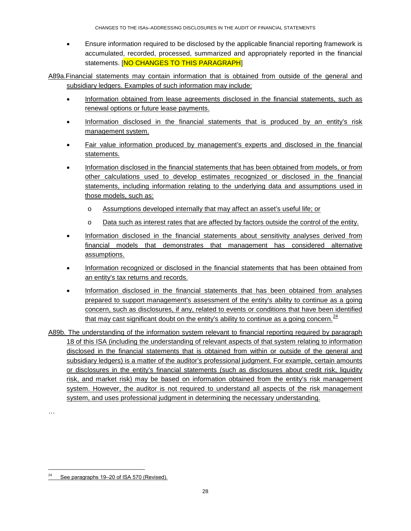• Ensure information required to be disclosed by the applicable financial reporting framework is accumulated, recorded, processed, summarized and appropriately reported in the financial statements. [NO CHANGES TO THIS PARAGRAPH]

A89a.Financial statements may contain information that is obtained from outside of the general and subsidiary ledgers. Examples of such information may include:

- Information obtained from lease agreements disclosed in the financial statements, such as renewal options or future lease payments.
- Information disclosed in the financial statements that is produced by an entity's risk management system.
- Fair value information produced by management's experts and disclosed in the financial statements.
- Information disclosed in the financial statements that has been obtained from models, or from other calculations used to develop estimates recognized or disclosed in the financial statements, including information relating to the underlying data and assumptions used in those models, such as:
	- o Assumptions developed internally that may affect an asset's useful life; or
	- o Data such as interest rates that are affected by factors outside the control of the entity.
- Information disclosed in the financial statements about sensitivity analyses derived from financial models that demonstrates that management has considered alternative assumptions.
- Information recognized or disclosed in the financial statements that has been obtained from an entity's tax returns and records.
- Information disclosed in the financial statements that has been obtained from analyses prepared to support management's assessment of the entity's ability to continue as a going concern, such as disclosures, if any, related to events or conditions that have been identified that may cast significant doubt on the entity's ability to continue as a going concern.  $24$
- A89b. The understanding of the information system relevant to financial reporting required by paragraph 18 of this ISA (including the understanding of relevant aspects of that system relating to information disclosed in the financial statements that is obtained from within or outside of the general and subsidiary ledgers) is a matter of the auditor's professional judgment. For example, certain amounts or disclosures in the entity's financial statements (such as disclosures about credit risk, liquidity risk, and market risk) may be based on information obtained from the entity's risk management system. However, the auditor is not required to understand all aspects of the risk management system, and uses professional judgment in determining the necessary understanding.

<sup>…</sup>

<span id="page-27-0"></span>See paragraphs 19–20 of ISA 570 (Revised).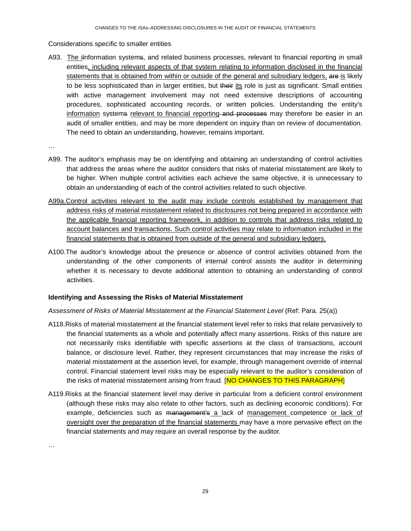Considerations specific to smaller entities

A93. The ilnformation systems, and related business processes, relevant to financial reporting in small entities, including relevant aspects of that system relating to information disclosed in the financial statements that is obtained from within or outside of the general and subsidiary ledgers, are is likely to be less sophisticated than in larger entities, but their its role is just as significant. Small entities with active management involvement may not need extensive descriptions of accounting procedures, sophisticated accounting records, or written policies. Understanding the entity's information systems relevant to financial reporting–and processes may therefore be easier in an audit of smaller entities, and may be more dependent on inquiry than on review of documentation. The need to obtain an understanding, however, remains important.

…

- A99. The auditor's emphasis may be on identifying and obtaining an understanding of control activities that address the areas where the auditor considers that risks of material misstatement are likely to be higher. When multiple control activities each achieve the same objective, it is unnecessary to obtain an understanding of each of the control activities related to such objective.
- A99a.Control activities relevant to the audit may include controls established by management that address risks of material misstatement related to disclosures not being prepared in accordance with the applicable financial reporting framework, in addition to controls that address risks related to account balances and transactions. Such control activities may relate to information included in the financial statements that is obtained from outside of the general and subsidiary ledgers.
- A100.The auditor's knowledge about the presence or absence of control activities obtained from the understanding of the other components of internal control assists the auditor in determining whether it is necessary to devote additional attention to obtaining an understanding of control activities.

#### **Identifying and Assessing the Risks of Material Misstatement**

Assessment of Risks of Material Misstatement at the Financial Statement Level (Ref: Para. 25(a))

- A118.Risks of material misstatement at the financial statement level refer to risks that relate pervasively to the financial statements as a whole and potentially affect many assertions. Risks of this nature are not necessarily risks identifiable with specific assertions at the class of transactions, account balance, or disclosure level. Rather, they represent circumstances that may increase the risks of material misstatement at the assertion level, for example, through management override of internal control. Financial statement level risks may be especially relevant to the auditor's consideration of the risks of material misstatement arising from fraud. [NO CHANGES TO THIS PARAGRAPH]
- A119.Risks at the financial statement level may derive in particular from a deficient control environment (although these risks may also relate to other factors, such as declining economic conditions). For example, deficiencies such as management's a lack of management competence or lack of oversight over the preparation of the financial statements may have a more pervasive effect on the financial statements and may require an overall response by the auditor.

…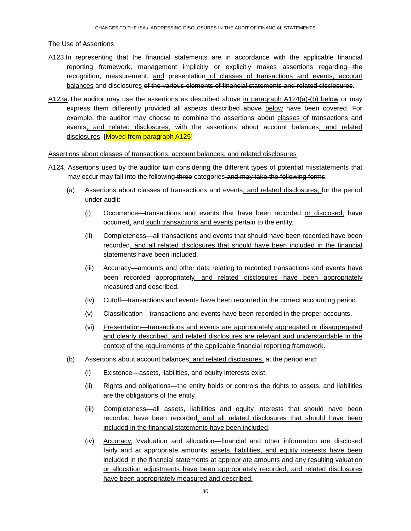The Use of Assertions

- A123.In representing that the financial statements are in accordance with the applicable financial reporting framework, management implicitly or explicitly makes assertions regarding the recognition, measurement, and presentation of classes of transactions and events, account balances and disclosures of the various elements of financial statements and related disclosures.
- A123a. The auditor may use the assertions as described above in paragraph A124(a)-(b) below or may express them differently provided all aspects described above below have been covered. For example, the auditor may choose to combine the assertions about classes of transactions and events, and related disclosures, with the assertions about account balances, and related disclosures. [Moved from paragraph A125]

#### Assertions about classes of transactions, account balances, and related disclosures

- A124. Assertions used by the auditor to in considering the different types of potential misstatements that may occur may fall into the following-three categories and may take the following forms:
	- (a) Assertions about classes of transactions and events, and related disclosures, for the period under audit:
		- (i) Occurrence—transactions and events that have been recorded or disclosed, have occurred, and such transactions and events pertain to the entity.
		- (ii) Completeness—all transactions and events that should have been recorded have been recorded, and all related disclosures that should have been included in the financial statements have been included.
		- (iii) Accuracy—amounts and other data relating to recorded transactions and events have been recorded appropriately, and related disclosures have been appropriately measured and described.
		- (iv) Cutoff—transactions and events have been recorded in the correct accounting period.
		- (v) Classification—transactions and events have been recorded in the proper accounts.
		- (vi) Presentation—transactions and events are appropriately aggregated or disaggregated and clearly described, and related disclosures are relevant and understandable in the context of the requirements of the applicable financial reporting framework.
	- (b) Assertions about account balances, and related disclosures, at the period end:
		- (i) Existence—assets, liabilities, and equity interests exist.
		- (ii) Rights and obligations—the entity holds or controls the rights to assets, and liabilities are the obligations of the entity.
		- (iii) Completeness—all assets, liabilities and equity interests that should have been recorded have been recorded, and all related disclosures that should have been included in the financial statements have been included.
		- (iv) Accuracy, Vvaluation and allocation—financial and other information are disclosed fairly and at appropriate amounts assets, liabilities, and equity interests have been included in the financial statements at appropriate amounts and any resulting valuation or allocation adjustments have been appropriately recorded, and related disclosures have been appropriately measured and described.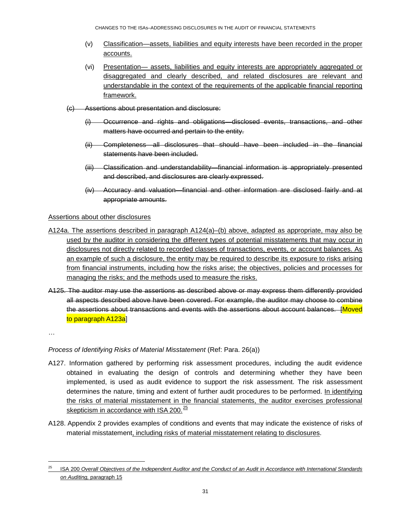- (v) Classification—assets, liabilities and equity interests have been recorded in the proper accounts.
- (vi) Presentation— assets, liabilities and equity interests are appropriately aggregated or disaggregated and clearly described, and related disclosures are relevant and understandable in the context of the requirements of the applicable financial reporting framework.
- (c) Assertions about presentation and disclosure:
	- (i) Occurrence and rights and obligations—disclosed events, transactions, and other matters have occurred and pertain to the entity.
	- (ii) Completeness—all disclosures that should have been included in the financial statements have been included.
	- (iii) Classification and understandability—financial information is appropriately presented and described, and disclosures are clearly expressed.
	- (iv) Accuracy and valuation—financial and other information are disclosed fairly and at appropriate amounts.

### Assertions about other disclosures

- A124a. The assertions described in paragraph A124(a)–(b) above, adapted as appropriate, may also be used by the auditor in considering the different types of potential misstatements that may occur in disclosures not directly related to recorded classes of transactions, events, or account balances. As an example of such a disclosure, the entity may be required to describe its exposure to risks arising from financial instruments, including how the risks arise; the objectives, policies and processes for managing the risks; and the methods used to measure the risks.
- A125. The auditor may use the assertions as described above or may express them differently provided all aspects described above have been covered. For example, the auditor may choose to combine the assertions about transactions and events with the assertions about account balances. [Moved to paragraph A123a]

-

### *Process of Identifying Risks of Material Misstatement* (Ref: Para. 26(a))

- A127. Information gathered by performing risk assessment procedures, including the audit evidence obtained in evaluating the design of controls and determining whether they have been implemented, is used as audit evidence to support the risk assessment. The risk assessment determines the nature, timing and extent of further audit procedures to be performed. In identifying the risks of material misstatement in the financial statements, the auditor exercises professional skepticism in accordance with ISA 200. $\frac{25}{5}$  $\frac{25}{5}$  $\frac{25}{5}$
- A128. Appendix 2 provides examples of conditions and events that may indicate the existence of risks of material misstatement, including risks of material misstatement relating to disclosures.

<sup>…</sup>

<span id="page-30-0"></span><sup>25</sup> ISA 200 *Overall Objectives of the Independent Auditor and the Conduct of an Audit in Accordance with International Standards on Auditing,* paragraph 15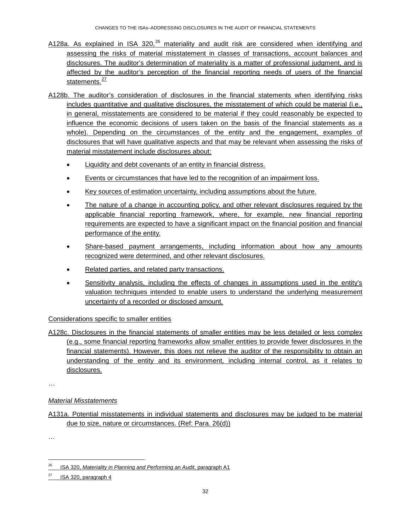- A128a. As explained in ISA 320, $^{26}$  $^{26}$  $^{26}$  materiality and audit risk are considered when identifying and assessing the risks of material misstatement in classes of transactions, account balances and disclosures. The auditor's determination of materiality is a matter of professional judgment, and is affected by the auditor's perception of the financial reporting needs of users of the financial statements. $\frac{27}{2}$  $\frac{27}{2}$  $\frac{27}{2}$
- A128b. The auditor's consideration of disclosures in the financial statements when identifying risks includes quantitative and qualitative disclosures, the misstatement of which could be material (i.e., in general, misstatements are considered to be material if they could reasonably be expected to influence the economic decisions of users taken on the basis of the financial statements as a whole). Depending on the circumstances of the entity and the engagement, examples of disclosures that will have qualitative aspects and that may be relevant when assessing the risks of material misstatement include disclosures about:
	- Liquidity and debt covenants of an entity in financial distress.
	- Events or circumstances that have led to the recognition of an impairment loss.
	- Key sources of estimation uncertainty, including assumptions about the future.
	- The nature of a change in accounting policy, and other relevant disclosures required by the applicable financial reporting framework, where, for example, new financial reporting requirements are expected to have a significant impact on the financial position and financial performance of the entity.
	- Share-based payment arrangements, including information about how any amounts recognized were determined, and other relevant disclosures.
	- Related parties, and related party transactions.
	- Sensitivity analysis, including the effects of changes in assumptions used in the entity's valuation techniques intended to enable users to understand the underlying measurement uncertainty of a recorded or disclosed amount.

### Considerations specific to smaller entities

```
A128c. Disclosures in the financial statements of smaller entities may be less detailed or less complex 
(e.g., some financial reporting frameworks allow smaller entities to provide fewer disclosures in the 
financial statements). However, this does not relieve the auditor of the responsibility to obtain an 
understanding of the entity and its environment, including internal control, as it relates to 
disclosures.
```
…

### *Material Misstatements*

A131a. Potential misstatements in individual statements and disclosures may be judged to be material due to size, nature or circumstances. (Ref: Para. 26(d))

<sup>…</sup>

<span id="page-31-0"></span><sup>26</sup> ISA 320, *Materiality in Planning and Performing an Audit*, paragraph A1

<span id="page-31-1"></span> $27$  ISA 320, paragraph 4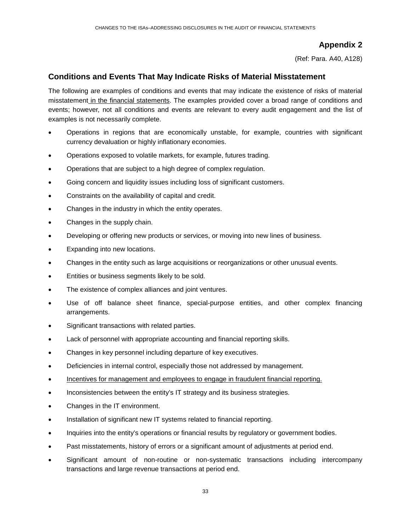## **Appendix 2**

(Ref: Para. A40, A128)

## **Conditions and Events That May Indicate Risks of Material Misstatement**

The following are examples of conditions and events that may indicate the existence of risks of material misstatement in the financial statements. The examples provided cover a broad range of conditions and events; however, not all conditions and events are relevant to every audit engagement and the list of examples is not necessarily complete.

- Operations in regions that are economically unstable, for example, countries with significant currency devaluation or highly inflationary economies.
- Operations exposed to volatile markets, for example, futures trading.
- Operations that are subject to a high degree of complex regulation.
- Going concern and liquidity issues including loss of significant customers.
- Constraints on the availability of capital and credit.
- Changes in the industry in which the entity operates.
- Changes in the supply chain.
- Developing or offering new products or services, or moving into new lines of business.
- Expanding into new locations.
- Changes in the entity such as large acquisitions or reorganizations or other unusual events.
- Entities or business segments likely to be sold.
- The existence of complex alliances and joint ventures.
- Use of off balance sheet finance, special-purpose entities, and other complex financing arrangements.
- Significant transactions with related parties.
- Lack of personnel with appropriate accounting and financial reporting skills.
- Changes in key personnel including departure of key executives.
- Deficiencies in internal control, especially those not addressed by management.
- Incentives for management and employees to engage in fraudulent financial reporting.
- Inconsistencies between the entity's IT strategy and its business strategies.
- Changes in the IT environment.
- Installation of significant new IT systems related to financial reporting.
- Inquiries into the entity's operations or financial results by regulatory or government bodies.
- Past misstatements, history of errors or a significant amount of adjustments at period end.
- Significant amount of non-routine or non-systematic transactions including intercompany transactions and large revenue transactions at period end.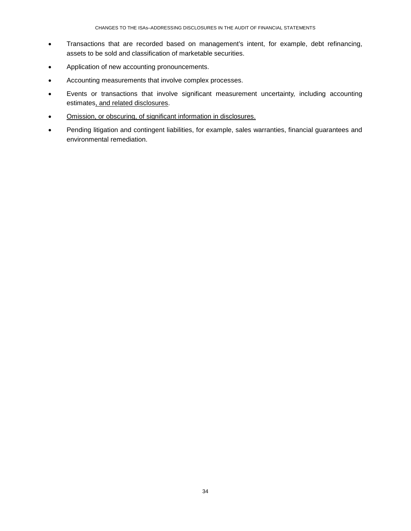- Transactions that are recorded based on management's intent, for example, debt refinancing, assets to be sold and classification of marketable securities.
- Application of new accounting pronouncements.
- Accounting measurements that involve complex processes.
- Events or transactions that involve significant measurement uncertainty, including accounting estimates, and related disclosures.
- Omission, or obscuring, of significant information in disclosures.
- Pending litigation and contingent liabilities, for example, sales warranties, financial guarantees and environmental remediation.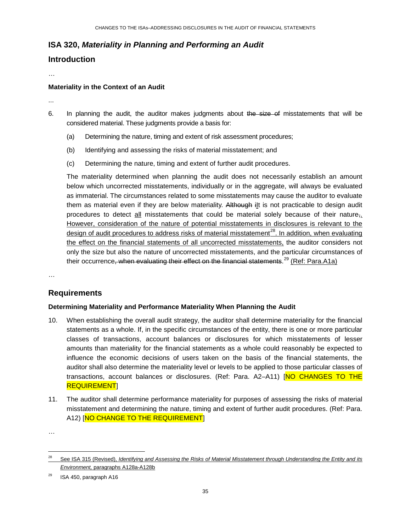# <span id="page-34-0"></span>**ISA 320,** *Materiality in Planning and Performing an Audit*

## **Introduction**

…

#### **Materiality in the Context of an Audit**

...

- 6. In planning the audit, the auditor makes judgments about the size of misstatements that will be considered material. These judgments provide a basis for:
	- (a) Determining the nature, timing and extent of risk assessment procedures;
	- (b) Identifying and assessing the risks of material misstatement; and
	- (c) Determining the nature, timing and extent of further audit procedures.

The materiality determined when planning the audit does not necessarily establish an amount below which uncorrected misstatements, individually or in the aggregate, will always be evaluated as immaterial. The circumstances related to some misstatements may cause the auditor to evaluate them as material even if they are below materiality. Although ilt is not practicable to design audit procedures to detect all misstatements that could be material solely because of their nature,. However, consideration of the nature of potential misstatements in disclosures is relevant to the design of audit procedures to address risks of material misstatement<sup>[28](#page-34-1)</sup>. In addition, when evaluating the effect on the financial statements of all uncorrected misstatements, the auditor considers not only the size but also the nature of uncorrected misstatements, and the particular circumstances of their occurrence<del>, when evaluating their effect on the financial statements.<sup>[29](#page-34-2)</sup> <u>(Ref: Para.A1a)</u></del>

…

# **Requirements**

### **Determining Materiality and Performance Materiality When Planning the Audit**

- 10. When establishing the overall audit strategy, the auditor shall determine materiality for the financial statements as a whole. If, in the specific circumstances of the entity, there is one or more particular classes of transactions, account balances or disclosures for which misstatements of lesser amounts than materiality for the financial statements as a whole could reasonably be expected to influence the economic decisions of users taken on the basis of the financial statements, the auditor shall also determine the materiality level or levels to be applied to those particular classes of transactions, account balances or disclosures. (Ref: Para. A2–A11) [NO CHANGES TO THE REQUIREMENT]
- 11. The auditor shall determine performance materiality for purposes of assessing the risks of material misstatement and determining the nature, timing and extent of further audit procedures. (Ref: Para. A12) [NO CHANGE TO THE REQUIREMENT]

<sup>…</sup>

<span id="page-34-1"></span><sup>&</sup>lt;sup>28</sup> See ISA 315 (Revised), *Identifying and Assessing the Risks of Material Misstatement through Understanding the Entity and its Environment,* paragraphs A128a-A128b

<span id="page-34-2"></span>ISA 450, paragraph A16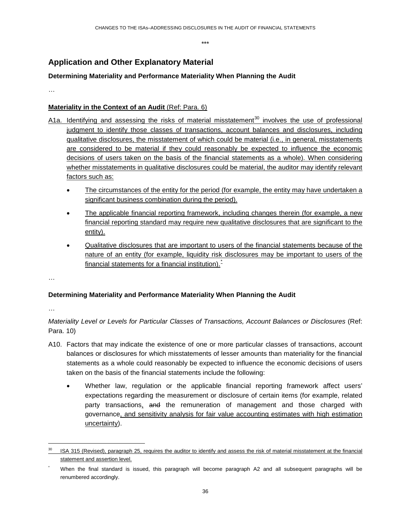\*\*\*

# **Application and Other Explanatory Material**

## **Determining Materiality and Performance Materiality When Planning the Audit**

…

## **Materiality in the Context of an Audit (Ref: Para. 6)**

- A1a. Identifying and assessing the risks of material misstatement<sup>[30](#page-35-0)</sup> involves the use of professional judgment to identify those classes of transactions, account balances and disclosures, including qualitative disclosures, the misstatement of which could be material (i.e., in general, misstatements are considered to be material if they could reasonably be expected to influence the economic decisions of users taken on the basis of the financial statements as a whole). When considering whether misstatements in qualitative disclosures could be material, the auditor may identify relevant factors such as:
	- The circumstances of the entity for the period (for example, the entity may have undertaken a significant business combination during the period).
	- The applicable financial reporting framework, including changes therein (for example, a new financial reporting standard may require new qualitative disclosures that are significant to the entity).
	- Qualitative disclosures that are important to users of the financial statements because of the nature of an entity (for example, liquidity risk disclosures may be important to users of the financial statements for a financial institution). $\frac{1}{x}$

…

### **Determining Materiality and Performance Materiality When Planning the Audit**

…

-

*Materiality Level or Levels for Particular Classes of Transactions, Account Balances or Disclosures* (Ref: Para. 10)

- A10. Factors that may indicate the existence of one or more particular classes of transactions, account balances or disclosures for which misstatements of lesser amounts than materiality for the financial statements as a whole could reasonably be expected to influence the economic decisions of users taken on the basis of the financial statements include the following:
	- Whether law, regulation or the applicable financial reporting framework affect users' expectations regarding the measurement or disclosure of certain items (for example, related party transactions, and the remuneration of management and those charged with governance, and sensitivity analysis for fair value accounting estimates with high estimation uncertainty).

<span id="page-35-0"></span><sup>30</sup> ISA 315 (Revised), paragraph 25, requires the auditor to identify and assess the risk of material misstatement at the financial statement and assertion level.

<span id="page-35-1"></span>When the final standard is issued, this paragraph will become paragraph A2 and all subsequent paragraphs will be renumbered accordingly.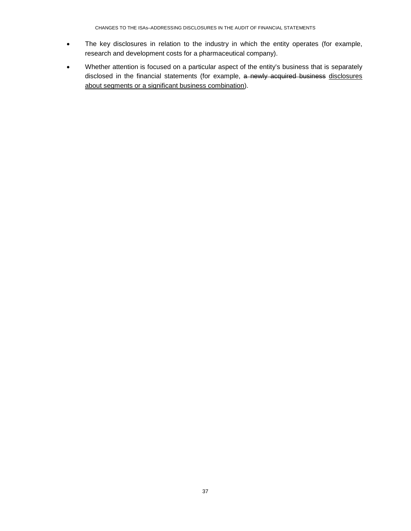CHANGES TO THE ISAs–ADDRESSING DISCLOSURES IN THE AUDIT OF FINANCIAL STATEMENTS

- The key disclosures in relation to the industry in which the entity operates (for example, research and development costs for a pharmaceutical company).
- Whether attention is focused on a particular aspect of the entity's business that is separately disclosed in the financial statements (for example, a newly acquired business disclosures about segments or a significant business combination).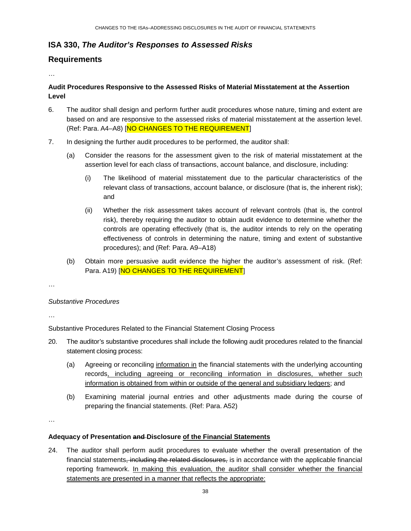## <span id="page-37-0"></span>**ISA 330,** *The Auditor's Responses to Assessed Risks*

## **Requirements**

…

## **Audit Procedures Responsive to the Assessed Risks of Material Misstatement at the Assertion Level**

- 6. The auditor shall design and perform further audit procedures whose nature, timing and extent are based on and are responsive to the assessed risks of material misstatement at the assertion level. (Ref: Para. A4-A8) [NO CHANGES TO THE REQUIREMENT]
- 7. In designing the further audit procedures to be performed, the auditor shall:
	- (a) Consider the reasons for the assessment given to the risk of material misstatement at the assertion level for each class of transactions, account balance, and disclosure, including:
		- (i) The likelihood of material misstatement due to the particular characteristics of the relevant class of transactions, account balance, or disclosure (that is, the inherent risk); and
		- (ii) Whether the risk assessment takes account of relevant controls (that is, the control risk), thereby requiring the auditor to obtain audit evidence to determine whether the controls are operating effectively (that is, the auditor intends to rely on the operating effectiveness of controls in determining the nature, timing and extent of substantive procedures); and (Ref: Para. A9–A18)
	- (b) Obtain more persuasive audit evidence the higher the auditor's assessment of risk. (Ref: Para. A19) [NO CHANGES TO THE REQUIREMENT]

…

#### *Substantive Procedures*

…

Substantive Procedures Related to the Financial Statement Closing Process

- 20. The auditor's substantive procedures shall include the following audit procedures related to the financial statement closing process:
	- (a) Agreeing or reconciling information in the financial statements with the underlying accounting records, including agreeing or reconciling information in disclosures, whether such information is obtained from within or outside of the general and subsidiary ledgers; and
	- (b) Examining material journal entries and other adjustments made during the course of preparing the financial statements. (Ref: Para. A52)

…

### **Adequacy of Presentation and Disclosure of the Financial Statements**

24. The auditor shall perform audit procedures to evaluate whether the overall presentation of the financial statements, including the related disclosures, is in accordance with the applicable financial reporting framework. In making this evaluation, the auditor shall consider whether the financial statements are presented in a manner that reflects the appropriate: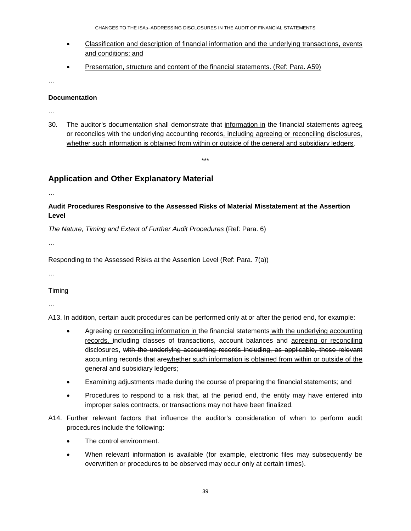CHANGES TO THE ISAs–ADDRESSING DISCLOSURES IN THE AUDIT OF FINANCIAL STATEMENTS

- Classification and description of financial information and the underlying transactions, events and conditions; and
- Presentation, structure and content of the financial statements. (Ref: Para. A59)

…

#### **Documentation**

…

30. The auditor's documentation shall demonstrate that information in the financial statements agrees or reconciles with the underlying accounting records, including agreeing or reconciling disclosures, whether such information is obtained from within or outside of the general and subsidiary ledgers.

\*\*\*

# **Application and Other Explanatory Material**

…

## **Audit Procedures Responsive to the Assessed Risks of Material Misstatement at the Assertion Level**

*The Nature, Timing and Extent of Further Audit Procedures* (Ref: Para. 6)

…

Responding to the Assessed Risks at the Assertion Level (Ref: Para. 7(a))

…

**Timing** 

…

A13. In addition, certain audit procedures can be performed only at or after the period end, for example:

- Agreeing or reconciling information in the financial statements with the underlying accounting records, including classes of transactions, account balances and agreeing or reconciling disclosures, with the underlying accounting records including, as applicable, those relevant accounting records that arewhether such information is obtained from within or outside of the general and subsidiary ledgers;
- Examining adjustments made during the course of preparing the financial statements; and
- Procedures to respond to a risk that, at the period end, the entity may have entered into improper sales contracts, or transactions may not have been finalized.
- A14. Further relevant factors that influence the auditor's consideration of when to perform audit procedures include the following:
	- The control environment.
	- When relevant information is available (for example, electronic files may subsequently be overwritten or procedures to be observed may occur only at certain times).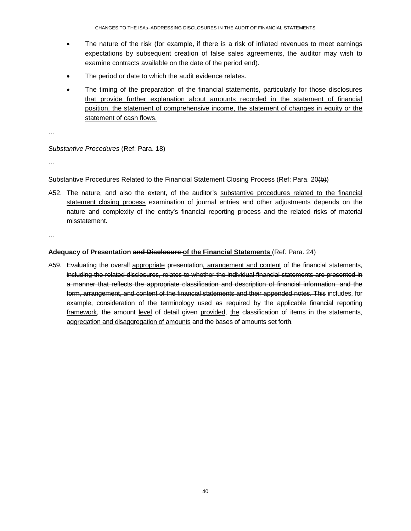- The nature of the risk (for example, if there is a risk of inflated revenues to meet earnings expectations by subsequent creation of false sales agreements, the auditor may wish to examine contracts available on the date of the period end).
- The period or date to which the audit evidence relates.
- The timing of the preparation of the financial statements, particularly for those disclosures that provide further explanation about amounts recorded in the statement of financial position, the statement of comprehensive income, the statement of changes in equity or the statement of cash flows.

…

#### *Substantive Procedures* (Ref: Para. 18)

…

Substantive Procedures Related to the Financial Statement Closing Process (Ref: Para. 20(b))

A52. The nature, and also the extent, of the auditor's substantive procedures related to the financial statement closing process examination of journal entries and other adjustments depends on the nature and complexity of the entity's financial reporting process and the related risks of material misstatement.

…

#### **Adequacy of Presentation and Disclosure of the Financial Statements** (Ref: Para. 24)

A59. Evaluating the overall appropriate presentation, arrangement and content of the financial statements, including the related disclosures, relates to whether the individual financial statements are presented in a manner that reflects the appropriate classification and description of financial information, and the form, arrangement, and content of the financial statements and their appended notes. This includes, for example, consideration of the terminology used as required by the applicable financial reporting framework, the amount level of detail given provided, the classification of items in the statements, aggregation and disaggregation of amounts and the bases of amounts set forth.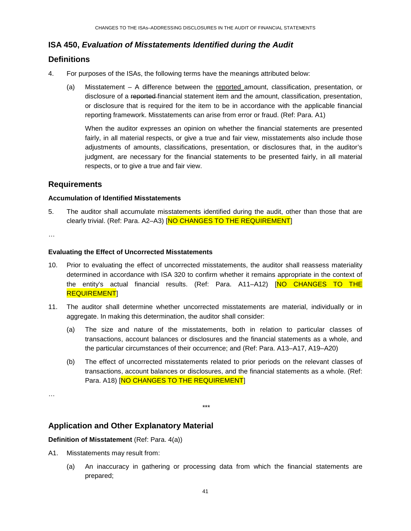# <span id="page-40-0"></span>**ISA 450,** *Evaluation of Misstatements Identified during the Audit*

# **Definitions**

- 4. For purposes of the ISAs, the following terms have the meanings attributed below:
	- (a) Misstatement A difference between the reported amount, classification, presentation, or disclosure of a reported-financial statement item and the amount, classification, presentation, or disclosure that is required for the item to be in accordance with the applicable financial reporting framework. Misstatements can arise from error or fraud. (Ref: Para. A1)

When the auditor expresses an opinion on whether the financial statements are presented fairly, in all material respects, or give a true and fair view, misstatements also include those adjustments of amounts, classifications, presentation, or disclosures that, in the auditor's judgment, are necessary for the financial statements to be presented fairly, in all material respects, or to give a true and fair view.

# **Requirements**

## **Accumulation of Identified Misstatements**

5. The auditor shall accumulate misstatements identified during the audit, other than those that are clearly trivial. (Ref: Para. A2-A3) [NO CHANGES TO THE REQUIREMENT]

…

## **Evaluating the Effect of Uncorrected Misstatements**

- 10. Prior to evaluating the effect of uncorrected misstatements, the auditor shall reassess materiality determined in accordance with ISA 320 to confirm whether it remains appropriate in the context of the entity's actual financial results. (Ref: Para. A11-A12) [NO CHANGES TO THE REQUIREMENT]
- 11. The auditor shall determine whether uncorrected misstatements are material, individually or in aggregate. In making this determination, the auditor shall consider:
	- (a) The size and nature of the misstatements, both in relation to particular classes of transactions, account balances or disclosures and the financial statements as a whole, and the particular circumstances of their occurrence; and (Ref: Para. A13–A17, A19–A20)
	- (b) The effect of uncorrected misstatements related to prior periods on the relevant classes of transactions, account balances or disclosures, and the financial statements as a whole. (Ref: Para. A18) [NO CHANGES TO THE REQUIREMENT]

\*\*\*

…

# **Application and Other Explanatory Material**

## **Definition of Misstatement** (Ref: Para. 4(a))

- A1. Misstatements may result from:
	- (a) An inaccuracy in gathering or processing data from which the financial statements are prepared;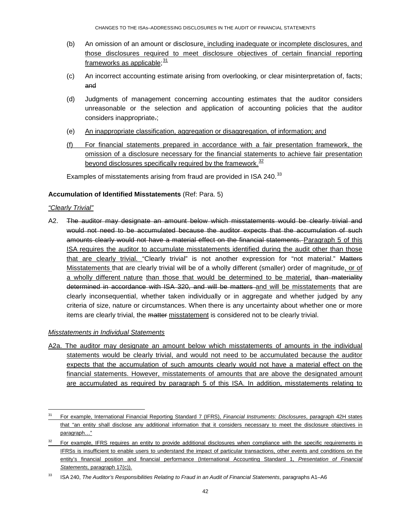- (b) An omission of an amount or disclosure, including inadequate or incomplete disclosures, and those disclosures required to meet disclosure objectives of certain financial reporting <u>frameworks as applicable;<sup>[31](#page-41-0)</sup></u>
- (c) An incorrect accounting estimate arising from overlooking, or clear misinterpretation of, facts; and
- (d) Judgments of management concerning accounting estimates that the auditor considers unreasonable or the selection and application of accounting policies that the auditor considers inappropriate.;
- (e) An inappropriate classification, aggregation or disaggregation, of information; and
- (f) For financial statements prepared in accordance with a fair presentation framework, the omission of a disclosure necessary for the financial statements to achieve fair presentation beyond disclosures specifically required by the framework. $32$

Examples of misstatements arising from fraud are provided in ISA 240.<sup>[33](#page-41-2)</sup>

#### **Accumulation of Identified Misstatements** (Ref: Para. 5)

#### *"Clearly Trivial"*

-

A2. The auditor may designate an amount below which misstatements would be clearly trivial and would not need to be accumulated because the auditor expects that the accumulation of such amounts clearly would not have a material effect on the financial statements. Paragraph 5 of this ISA requires the auditor to accumulate misstatements identified during the audit other than those that are clearly trivial. "Clearly trivial" is not another expression for "not material." Matters Misstatements that are clearly trivial will be of a wholly different (smaller) order of magnitude, or of a wholly different nature than those that would be determined to be material, than materiality determined in accordance with ISA 320, and will be matters and will be misstatements that are clearly inconsequential, whether taken individually or in aggregate and whether judged by any criteria of size, nature or circumstances. When there is any uncertainty about whether one or more items are clearly trivial, the matter misstatement is considered not to be clearly trivial.

#### *Misstatements in Individual Statements*

A2a. The auditor may designate an amount below which misstatements of amounts in the individual statements would be clearly trivial, and would not need to be accumulated because the auditor expects that the accumulation of such amounts clearly would not have a material effect on the financial statements. However, misstatements of amounts that are above the designated amount are accumulated as required by paragraph 5 of this ISA. In addition, misstatements relating to

<span id="page-41-0"></span><sup>31</sup> For example, International Financial Reporting Standard 7 (IFRS), *Financial Instruments: Disclosures*, paragraph 42H states that "an entity shall disclose any additional information that it considers necessary to meet the disclosure objectives in paragraph…"

<span id="page-41-1"></span> $\frac{32}{2}$  For example, IFRS requires an entity to provide additional disclosures when compliance with the specific requirements in IFRSs is insufficient to enable users to understand the impact of particular transactions, other events and conditions on the entity's financial position and financial performance (International Accounting Standard 1, *Presentation of Financial Statements,* paragraph 17(c)).

<span id="page-41-2"></span><sup>33</sup> ISA 240, *The Auditor's Responsibilities Relating to Fraud in an Audit of Financial Statements*, paragraphs A1–A6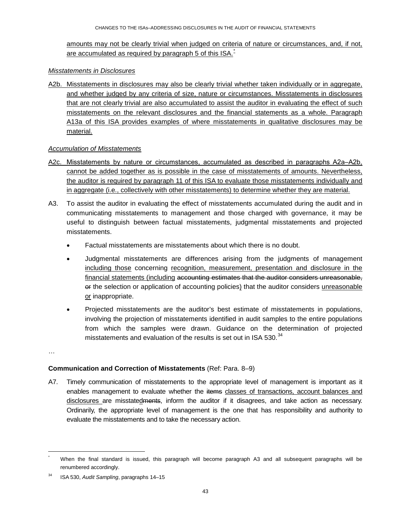amounts may not be clearly trivial when judged on criteria of nature or circumstances, and, if not, are accumulated as required by paragraph 5 of this ISA.<sup>[\\*](#page-42-0)</sup>

#### *Misstatements in Disclosures*

A2b. Misstatements in disclosures may also be clearly trivial whether taken individually or in aggregate, and whether judged by any criteria of size, nature or circumstances. Misstatements in disclosures that are not clearly trivial are also accumulated to assist the auditor in evaluating the effect of such misstatements on the relevant disclosures and the financial statements as a whole. Paragraph A13a of this ISA provides examples of where misstatements in qualitative disclosures may be material.

#### *Accumulation of Misstatements*

- A2c. Misstatements by nature or circumstances, accumulated as described in paragraphs A2a-A2b, cannot be added together as is possible in the case of misstatements of amounts. Nevertheless, the auditor is required by paragraph 11 of this ISA to evaluate those misstatements individually and in aggregate (i.e., collectively with other misstatements) to determine whether they are material.
- A3. To assist the auditor in evaluating the effect of misstatements accumulated during the audit and in communicating misstatements to management and those charged with governance, it may be useful to distinguish between factual misstatements, judgmental misstatements and projected misstatements.
	- Factual misstatements are misstatements about which there is no doubt.
	- Judgmental misstatements are differences arising from the judgments of management including those concerning recognition, measurement, presentation and disclosure in the financial statements (including accounting estimates that the auditor considers unreasonable, or the selection or application of accounting policies) that the auditor considers unreasonable or inappropriate.
	- Projected misstatements are the auditor's best estimate of misstatements in populations, involving the projection of misstatements identified in audit samples to the entire populations from which the samples were drawn. Guidance on the determination of projected misstatements and evaluation of the results is set out in ISA 530.<sup>[34](#page-42-1)</sup>

…

-

### **Communication and Correction of Misstatements** (Ref: Para. 8–9)

A7. Timely communication of misstatements to the appropriate level of management is important as it enables management to evaluate whether the items classes of transactions, account balances and disclosures are misstatedments, inform the auditor if it disagrees, and take action as necessary. Ordinarily, the appropriate level of management is the one that has responsibility and authority to evaluate the misstatements and to take the necessary action.

<span id="page-42-0"></span>When the final standard is issued, this paragraph will become paragraph A3 and all subsequent paragraphs will be renumbered accordingly.

<span id="page-42-1"></span><sup>34</sup> ISA 530, *Audit Sampling*, paragraphs 14–15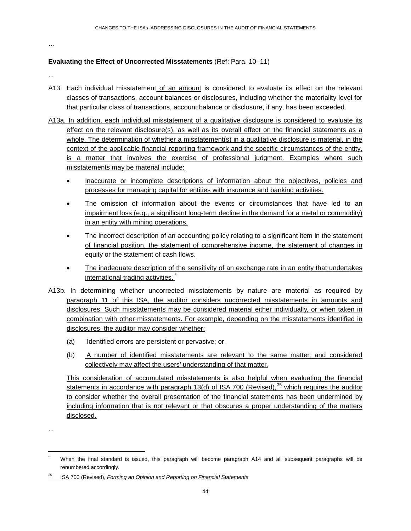…

#### **Evaluating the Effect of Uncorrected Misstatements** (Ref: Para. 10–11)

- ...
- A13. Each individual misstatement of an amount is considered to evaluate its effect on the relevant classes of transactions, account balances or disclosures, including whether the materiality level for that particular class of transactions, account balance or disclosure, if any, has been exceeded.
- A13a. In addition, each individual misstatement of a qualitative disclosure is considered to evaluate its effect on the relevant disclosure(s), as well as its overall effect on the financial statements as a whole. The determination of whether a misstatement(s) in a qualitative disclosure is material, in the context of the applicable financial reporting framework and the specific circumstances of the entity, is a matter that involves the exercise of professional judgment. Examples where such misstatements may be material include:
	- Inaccurate or incomplete descriptions of information about the objectives, policies and processes for managing capital for entities with insurance and banking activities.
	- The omission of information about the events or circumstances that have led to an impairment loss (e.g., a significant long-term decline in the demand for a metal or commodity) in an entity with mining operations.
	- The incorrect description of an accounting policy relating to a significant item in the statement of financial position, the statement of comprehensive income, the statement of changes in equity or the statement of cash flows.
	- The inadequate description of the sensitivity of an exchange rate in an entity that undertakes international trading activities.  $\frac{1}{1}$
- A13b. In determining whether uncorrected misstatements by nature are material as required by paragraph 11 of this ISA, the auditor considers uncorrected misstatements in amounts and disclosures. Such misstatements may be considered material either individually, or when taken in combination with other misstatements. For example, depending on the misstatements identified in disclosures, the auditor may consider whether:
	- (a) Identified errors are persistent or pervasive; or
	- (b) A number of identified misstatements are relevant to the same matter, and considered collectively may affect the users' understanding of that matter.

This consideration of accumulated misstatements is also helpful when evaluating the financial statements in accordance with paragraph 13(d) of ISA 700 (Revised),  $35$  which requires the auditor to consider whether the overall presentation of the financial statements has been undermined by including information that is not relevant or that obscures a proper understanding of the matters disclosed.

<sup>...</sup>

<span id="page-43-0"></span>When the final standard is issued, this paragraph will become paragraph A14 and all subsequent paragraphs will be renumbered accordingly.

<span id="page-43-1"></span><sup>35</sup> ISA 700 (Revised), *Forming an Opinion and Reporting on Financial Statements*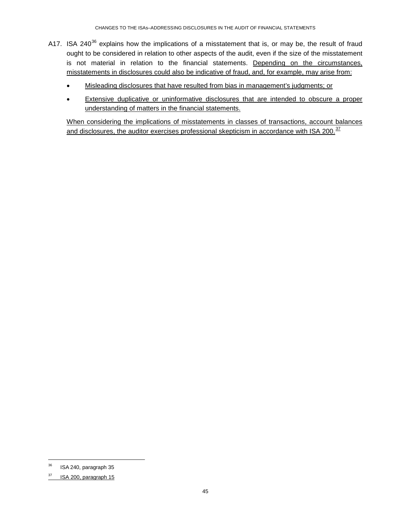- A17. ISA 240 $36$  explains how the implications of a misstatement that is, or may be, the result of fraud ought to be considered in relation to other aspects of the audit, even if the size of the misstatement is not material in relation to the financial statements. Depending on the circumstances, misstatements in disclosures could also be indicative of fraud, and, for example, may arise from:
	- Misleading disclosures that have resulted from bias in management's judgments; or
	- Extensive duplicative or uninformative disclosures that are intended to obscure a proper understanding of matters in the financial statements.

When considering the implications of misstatements in classes of transactions, account balances and disclosures, the auditor exercises professional skepticism in accordance with ISA 200.<sup>[37](#page-44-1)</sup>

<span id="page-44-0"></span> $36$  ISA 240, paragraph 35

<span id="page-44-1"></span> $37$  ISA 200, paragraph 15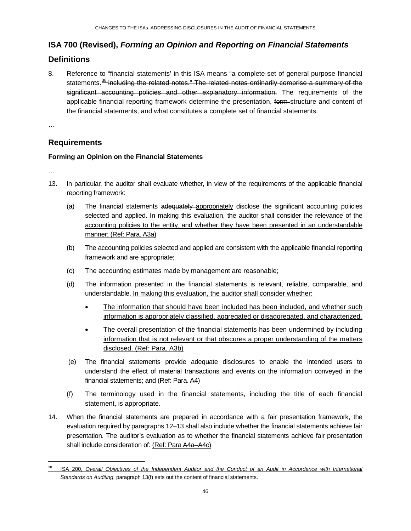# <span id="page-45-0"></span>**ISA 700 (Revised),** *Forming an Opinion and Reporting on Financial Statements*

# **Definitions**

8. Reference to "financial statements' in this ISA means "a complete set of general purpose financial statements.<sup>[38](#page-45-1)</sup> including the related notes." The related notes ordinarily comprise a summary of the significant accounting policies and other explanatory information. The requirements of the applicable financial reporting framework determine the presentation, form-structure and content of the financial statements, and what constitutes a complete set of financial statements.

…

# **Requirements**

## **Forming an Opinion on the Financial Statements**

…

- 13. In particular, the auditor shall evaluate whether, in view of the requirements of the applicable financial reporting framework:
	- (a) The financial statements adequately appropriately disclose the significant accounting policies selected and applied. In making this evaluation, the auditor shall consider the relevance of the accounting policies to the entity, and whether they have been presented in an understandable manner; (Ref: Para. A3a)
	- (b) The accounting policies selected and applied are consistent with the applicable financial reporting framework and are appropriate;
	- (c) The accounting estimates made by management are reasonable;
	- (d) The information presented in the financial statements is relevant, reliable, comparable, and understandable. In making this evaluation, the auditor shall consider whether:
		- The information that should have been included has been included, and whether such information is appropriately classified, aggregated or disaggregated, and characterized.
		- The overall presentation of the financial statements has been undermined by including information that is not relevant or that obscures a proper understanding of the matters disclosed. (Ref: Para. A3b)
	- (e) The financial statements provide adequate disclosures to enable the intended users to understand the effect of material transactions and events on the information conveyed in the financial statements; and (Ref: Para. A4)
	- (f) The terminology used in the financial statements, including the title of each financial statement, is appropriate.
- 14. When the financial statements are prepared in accordance with a fair presentation framework, the evaluation required by paragraphs 12–13 shall also include whether the financial statements achieve fair presentation. The auditor's evaluation as to whether the financial statements achieve fair presentation shall include consideration of: (Ref: Para A4a-A4c)

<span id="page-45-1"></span><sup>38</sup> ISA 200, *Overall Objectives of the Independent Auditor and the Conduct of an Audit in Accordance with International Standards on Auditing*, paragraph 13(f) sets out the content of financial statements.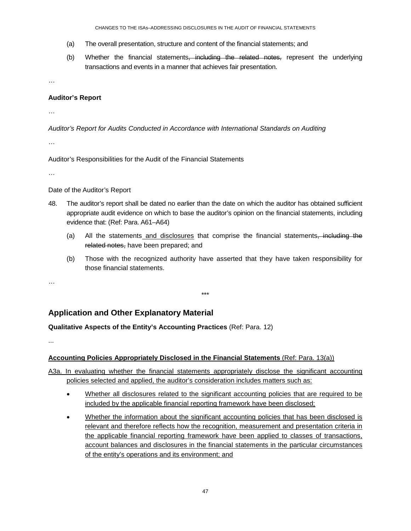CHANGES TO THE ISAs–ADDRESSING DISCLOSURES IN THE AUDIT OF FINANCIAL STATEMENTS

- (a) The overall presentation, structure and content of the financial statements; and
- (b) Whether the financial statements<del>, including the related notes,</del> represent the underlying transactions and events in a manner that achieves fair presentation.

…

#### **Auditor's Report**

…

*Auditor's Report for Audits Conducted in Accordance with International Standards on Auditing*

…

Auditor's Responsibilities for the Audit of the Financial Statements

…

#### Date of the Auditor's Report

- 48. The auditor's report shall be dated no earlier than the date on which the auditor has obtained sufficient appropriate audit evidence on which to base the auditor's opinion on the financial statements, including evidence that: (Ref: Para. A61–A64)
	- (a) All the statements and disclosures that comprise the financial statements, including the related notes, have been prepared; and
	- (b) Those with the recognized authority have asserted that they have taken responsibility for those financial statements.

\*\*\*

…

# **Application and Other Explanatory Material**

### **Qualitative Aspects of the Entity's Accounting Practices** (Ref: Para. 12)

...

### **Accounting Policies Appropriately Disclosed in the Financial Statements** (Ref: Para. 13(a))

- A3a. In evaluating whether the financial statements appropriately disclose the significant accounting policies selected and applied, the auditor's consideration includes matters such as:
	- Whether all disclosures related to the significant accounting policies that are required to be included by the applicable financial reporting framework have been disclosed;
	- Whether the information about the significant accounting policies that has been disclosed is relevant and therefore reflects how the recognition, measurement and presentation criteria in the applicable financial reporting framework have been applied to classes of transactions, account balances and disclosures in the financial statements in the particular circumstances of the entity's operations and its environment; and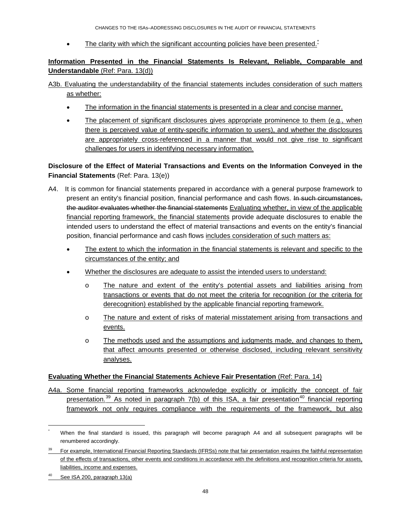CHANGES TO THE ISAs–ADDRESSING DISCLOSURES IN THE AUDIT OF FINANCIAL STATEMENTS

The clarity with which the significant accounting policies have been presented. $\cdot$ 

## **Information Presented in the Financial Statements Is Relevant, Reliable, Comparable and Understandable** (Ref: Para. 13(d))

- A3b. Evaluating the understandability of the financial statements includes consideration of such matters as whether:
	- The information in the financial statements is presented in a clear and concise manner.
	- The placement of significant disclosures gives appropriate prominence to them (e.g., when there is perceived value of entity-specific information to users), and whether the disclosures are appropriately cross-referenced in a manner that would not give rise to significant challenges for users in identifying necessary information.

## **Disclosure of the Effect of Material Transactions and Events on the Information Conveyed in the Financial Statements** (Ref: Para. 13(e))

- A4. It is common for financial statements prepared in accordance with a general purpose framework to present an entity's financial position, financial performance and cash flows. In such circumstances, the auditor evaluates whether the financial statements Evaluating whether, in view of the applicable financial reporting framework, the financial statements provide adequate disclosures to enable the intended users to understand the effect of material transactions and events on the entity's financial position, financial performance and cash flows includes consideration of such matters as:
	- The extent to which the information in the financial statements is relevant and specific to the circumstances of the entity; and
	- Whether the disclosures are adequate to assist the intended users to understand:
		- o The nature and extent of the entity's potential assets and liabilities arising from transactions or events that do not meet the criteria for recognition (or the criteria for derecognition) established by the applicable financial reporting framework.
		- o The nature and extent of risks of material misstatement arising from transactions and events.
		- o The methods used and the assumptions and judgments made, and changes to them, that affect amounts presented or otherwise disclosed, including relevant sensitivity analyses.

### **Evaluating Whether the Financial Statements Achieve Fair Presentation** (Ref: Para. 14)

A4a. Some financial reporting frameworks acknowledge explicitly or implicitly the concept of fair presentation.<sup>[39](#page-47-1)</sup> As noted in paragraph  $7(b)$  of this ISA, a fair presentation<sup>[40](#page-47-2)</sup> financial reporting framework not only requires compliance with the requirements of the framework, but also

<span id="page-47-0"></span>When the final standard is issued, this paragraph will become paragraph A4 and all subsequent paragraphs will be renumbered accordingly.

<span id="page-47-1"></span><sup>39</sup> For example, International Financial Reporting Standards (IFRSs) note that fair presentation requires the faithful representation of the effects of transactions, other events and conditions in accordance with the definitions and recognition criteria for assets, liabilities, income and expenses.

<span id="page-47-2"></span> $40$  See ISA 200, paragraph 13(a)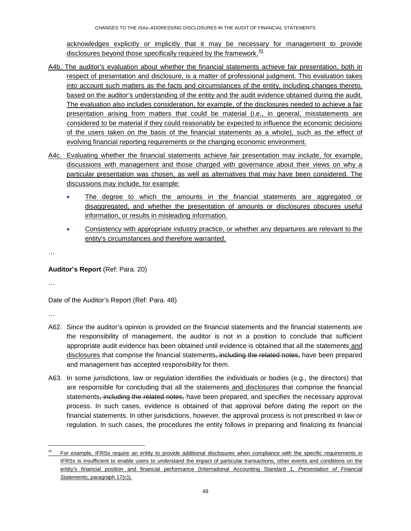acknowledges explicitly or implicitly that it may be necessary for management to provide disclosures beyond those specifically required by the framework. $\frac{41}{2}$  $\frac{41}{2}$  $\frac{41}{2}$ 

- A4b. The auditor's evaluation about whether the financial statements achieve fair presentation, both in respect of presentation and disclosure, is a matter of professional judgment. This evaluation takes into account such matters as the facts and circumstances of the entity, including changes thereto, based on the auditor's understanding of the entity and the audit evidence obtained during the audit. The evaluation also includes consideration, for example, of the disclosures needed to achieve a fair presentation arising from matters that could be material (i.e., in general, misstatements are considered to be material if they could reasonably be expected to influence the economic decisions of the users taken on the basis of the financial statements as a whole), such as the effect of evolving financial reporting requirements or the changing economic environment.
- A4c. Evaluating whether the financial statements achieve fair presentation may include, for example, discussions with management and those charged with governance about their views on why a particular presentation was chosen, as well as alternatives that may have been considered. The discussions may include, for example:
	- The degree to which the amounts in the financial statements are aggregated or disaggregated, and whether the presentation of amounts or disclosures obscures useful information, or results in misleading information.
	- Consistency with appropriate industry practice, or whether any departures are relevant to the entity's circumstances and therefore warranted.

…

**Auditor's Report** (Ref: Para. 20)

…

Date of the Auditor's Report (Ref: Para. 48)

…

- A62. Since the auditor's opinion is provided on the financial statements and the financial statements are the responsibility of management, the auditor is not in a position to conclude that sufficient appropriate audit evidence has been obtained until evidence is obtained that all the statements and disclosures that comprise the financial statements, including the related notes, have been prepared and management has accepted responsibility for them.
- A63. In some jurisdictions, law or regulation identifies the individuals or bodies (e.g., the directors) that are responsible for concluding that all the statements and disclosures that comprise the financial statements, including the related notes, have been prepared, and specifies the necessary approval process. In such cases, evidence is obtained of that approval before dating the report on the financial statements. In other jurisdictions, however, the approval process is not prescribed in law or regulation. In such cases, the procedures the entity follows in preparing and finalizing its financial

<span id="page-48-0"></span><sup>&</sup>lt;sup>41</sup> For example, IFRSs require an entity to provide additional disclosures when compliance with the specific requirements in IFRSs is insufficient to enable users to understand the impact of particular transactions, other events and conditions on the entity's financial position and financial performance (International Accounting Standard 1, *Presentation of Financial Statements,* paragraph 17(c)).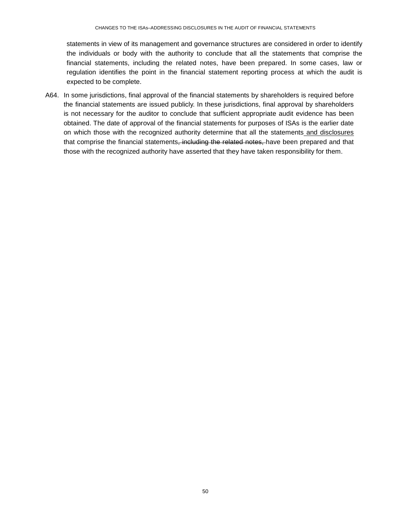statements in view of its management and governance structures are considered in order to identify the individuals or body with the authority to conclude that all the statements that comprise the financial statements, including the related notes, have been prepared. In some cases, law or regulation identifies the point in the financial statement reporting process at which the audit is expected to be complete.

A64. In some jurisdictions, final approval of the financial statements by shareholders is required before the financial statements are issued publicly. In these jurisdictions, final approval by shareholders is not necessary for the auditor to conclude that sufficient appropriate audit evidence has been obtained. The date of approval of the financial statements for purposes of ISAs is the earlier date on which those with the recognized authority determine that all the statements and disclosures that comprise the financial statements, including the related notes, have been prepared and that those with the recognized authority have asserted that they have taken responsibility for them.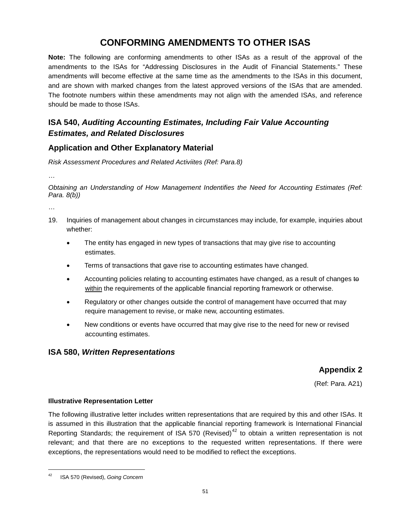# **CONFORMING AMENDMENTS TO OTHER ISAS**

<span id="page-50-0"></span>**Note:** The following are conforming amendments to other ISAs as a result of the approval of the amendments to the ISAs for "Addressing Disclosures in the Audit of Financial Statements." These amendments will become effective at the same time as the amendments to the ISAs in this document, and are shown with marked changes from the latest approved versions of the ISAs that are amended. The footnote numbers within these amendments may not align with the amended ISAs, and reference should be made to those ISAs.

# **ISA 540,** *Auditing Accounting Estimates, Including Fair Value Accounting Estimates, and Related Disclosures*

# **Application and Other Explanatory Material**

*Risk Assessment Procedures and Related Activiites (Ref: Para.8)*

…

*Obtaining an Understanding of How Management Indentifies the Need for Accounting Estimates (Ref: Para. 8(b))*

…

- 19. Inquiries of management about changes in circumstances may include, for example, inquiries about whether:
	- The entity has engaged in new types of transactions that may give rise to accounting estimates.
	- Terms of transactions that gave rise to accounting estimates have changed.
	- Accounting policies relating to accounting estimates have changed, as a result of changes to within the requirements of the applicable financial reporting framework or otherwise.
	- Regulatory or other changes outside the control of management have occurred that may require management to revise, or make new, accounting estimates.
	- New conditions or events have occurred that may give rise to the need for new or revised accounting estimates.

# **ISA 580,** *Written Representations*

# **Appendix 2**

(Ref: Para. A21)

### **Illustrative Representation Letter**

The following illustrative letter includes written representations that are required by this and other ISAs. It is assumed in this illustration that the applicable financial reporting framework is International Financial Reporting Standards; the requirement of ISA 570 (Revised)<sup>[42](#page-50-1)</sup> to obtain a written representation is not relevant; and that there are no exceptions to the requested written representations. If there were exceptions, the representations would need to be modified to reflect the exceptions.

<span id="page-50-1"></span><sup>42</sup> ISA 570 (Revised), *Going Concern*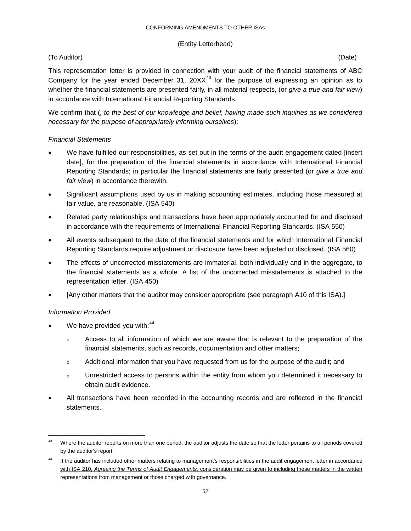#### (Entity Letterhead)

## (To Auditor) (Date)

This representation letter is provided in connection with your audit of the financial statements of ABC Company for the year ended December 31,  $20XX^{43}$  $20XX^{43}$  $20XX^{43}$  for the purpose of expressing an opinion as to whether the financial statements are presented fairly, in all material respects, (or *give a true and fair view*) in accordance with International Financial Reporting Standards.

We confirm that (*, to the best of our knowledge and belief, having made such inquiries as we considered necessary for the purpose of appropriately informing ourselves*):

### *Financial Statements*

- We have fulfilled our responsibilities, as set out in the terms of the audit engagement dated [insert date], for the preparation of the financial statements in accordance with International Financial Reporting Standards; in particular the financial statements are fairly presented (or *give a true and fair view*) in accordance therewith.
- Significant assumptions used by us in making accounting estimates, including those measured at fair value, are reasonable. (ISA 540)
- Related party relationships and transactions have been appropriately accounted for and disclosed in accordance with the requirements of International Financial Reporting Standards. (ISA 550)
- All events subsequent to the date of the financial statements and for which International Financial Reporting Standards require adjustment or disclosure have been adjusted or disclosed. (ISA 560)
- The effects of uncorrected misstatements are immaterial, both individually and in the aggregate, to the financial statements as a whole. A list of the uncorrected misstatements is attached to the representation letter. (ISA 450)
- [Any other matters that the auditor may consider appropriate (see paragraph A10 of this ISA).]

### *Information Provided*

- We have provided you with:  $\frac{44}{1}$  $\frac{44}{1}$  $\frac{44}{1}$ 
	- <sup>o</sup> Access to all information of which we are aware that is relevant to the preparation of the financial statements, such as records, documentation and other matters;
	- <sup>o</sup> Additional information that you have requested from us for the purpose of the audit; and
	- <sup>o</sup> Unrestricted access to persons within the entity from whom you determined it necessary to obtain audit evidence.
- All transactions have been recorded in the accounting records and are reflected in the financial statements.

<span id="page-51-0"></span><sup>&</sup>lt;sup>43</sup> Where the auditor reports on more than one period, the auditor adjusts the date so that the letter pertains to all periods covered by the auditor's report.

<span id="page-51-1"></span>If the auditor has included other matters relating to management's responsibilities in the audit engagement letter in accordance with ISA 210, *Agreeing the Terms of Audit Engagements,* consideration may be given to including these matters in the written representations from management or those charged with governance.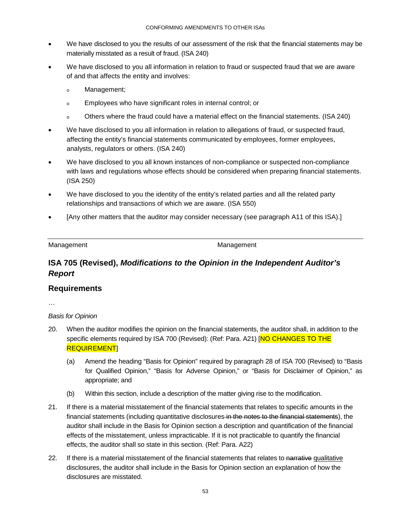- We have disclosed to you the results of our assessment of the risk that the financial statements may be materially misstated as a result of fraud. (ISA 240)
- We have disclosed to you all information in relation to fraud or suspected fraud that we are aware of and that affects the entity and involves:
	- <sup>o</sup> Management;
	- <sup>o</sup> Employees who have significant roles in internal control; or
	- <sup>o</sup> Others where the fraud could have a material effect on the financial statements. (ISA 240)
- We have disclosed to you all information in relation to allegations of fraud, or suspected fraud, affecting the entity's financial statements communicated by employees, former employees, analysts, regulators or others. (ISA 240)
- We have disclosed to you all known instances of non-compliance or suspected non-compliance with laws and regulations whose effects should be considered when preparing financial statements. (ISA 250)
- We have disclosed to you the identity of the entity's related parties and all the related party relationships and transactions of which we are aware. (ISA 550)
- [Any other matters that the auditor may consider necessary (see paragraph A11 of this ISA).]

Management Management

# **ISA 705 (Revised),** *Modifications to the Opinion in the Independent Auditor's Report*

## **Requirements**

…

## *Basis for Opinion*

- 20. When the auditor modifies the opinion on the financial statements, the auditor shall, in addition to the specific elements required by ISA 700 (Revised): (Ref: Para. A21) [NO CHANGES TO THE REQUIREMENT]
	- (a) Amend the heading "Basis for Opinion" required by paragraph 28 of ISA 700 (Revised) to "Basis for Qualified Opinion," "Basis for Adverse Opinion," or "Basis for Disclaimer of Opinion," as appropriate; and
	- (b) Within this section, include a description of the matter giving rise to the modification.
- 21. If there is a material misstatement of the financial statements that relates to specific amounts in the financial statements (including quantitative disclosures in the notes to the financial statements), the auditor shall include in the Basis for Opinion section a description and quantification of the financial effects of the misstatement, unless impracticable. If it is not practicable to quantify the financial effects, the auditor shall so state in this section. (Ref: Para. A22)
- 22. If there is a material misstatement of the financial statements that relates to narrative qualitative disclosures, the auditor shall include in the Basis for Opinion section an explanation of how the disclosures are misstated.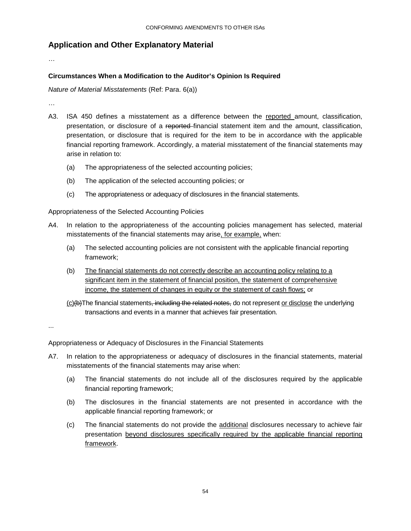## **Application and Other Explanatory Material**

…

#### **Circumstances When a Modification to the Auditor's Opinion Is Required**

*Nature of Material Misstatements* (Ref: Para. 6(a))

…

- A3. ISA 450 defines a misstatement as a difference between the reported amount, classification, presentation, or disclosure of a reported financial statement item and the amount, classification, presentation, or disclosure that is required for the item to be in accordance with the applicable financial reporting framework. Accordingly, a material misstatement of the financial statements may arise in relation to:
	- (a) The appropriateness of the selected accounting policies;
	- (b) The application of the selected accounting policies; or
	- (c) The appropriateness or adequacy of disclosures in the financial statements.

Appropriateness of the Selected Accounting Policies

- A4. In relation to the appropriateness of the accounting policies management has selected, material misstatements of the financial statements may arise, for example, when:
	- (a) The selected accounting policies are not consistent with the applicable financial reporting framework;
	- (b) The financial statements do not correctly describe an accounting policy relating to a significant item in the statement of financial position, the statement of comprehensive income, the statement of changes in equity or the statement of cash flows; or
	- (c)(b)The financial statements, including the related notes, do not represent or disclose the underlying transactions and events in a manner that achieves fair presentation.

...

Appropriateness or Adequacy of Disclosures in the Financial Statements

- A7. In relation to the appropriateness or adequacy of disclosures in the financial statements, material misstatements of the financial statements may arise when:
	- (a) The financial statements do not include all of the disclosures required by the applicable financial reporting framework;
	- (b) The disclosures in the financial statements are not presented in accordance with the applicable financial reporting framework; or
	- (c) The financial statements do not provide the additional disclosures necessary to achieve fair presentation beyond disclosures specifically required by the applicable financial reporting framework.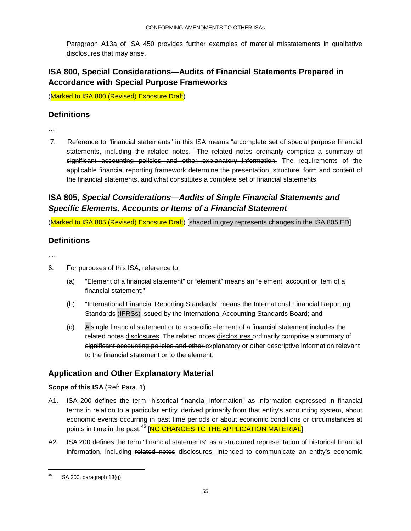Paragraph A13a of ISA 450 provides further examples of material misstatements in qualitative disclosures that may arise.

# **ISA 800, Special Considerations—Audits of Financial Statements Prepared in Accordance with Special Purpose Frameworks**

(Marked to ISA 800 (Revised) Exposure Draft)

# **Definitions**

- …
- 7. Reference to "financial statements" in this ISA means "a complete set of special purpose financial statements, including the related notes. "The related notes ordinarily comprise a summary of significant accounting policies and other explanatory information. The requirements of the applicable financial reporting framework determine the presentation, structure, form and content of the financial statements, and what constitutes a complete set of financial statements.

# **ISA 805,** *Special Considerations—Audits of Single Financial Statements and Specific Elements, Accounts or Items of a Financial Statement*

(Marked to ISA 805 (Revised) Exposure Draft) [shaded in grey represents changes in the ISA 805 ED]

# **Definitions**

…

- 6. For purposes of this ISA, reference to:
	- (a) "Element of a financial statement" or "element" means an "element, account or item of a financial statement;"
	- (b) "International Financial Reporting Standards" means the International Financial Reporting Standards (IFRSs) issued by the International Accounting Standards Board; and
	- (c) A single financial statement or to a specific element of a financial statement includes the related notes disclosures. The related notes-disclosures ordinarily comprise a summary of significant accounting policies and other explanatory or other descriptive information relevant to the financial statement or to the element.

# **Application and Other Explanatory Material**

## **Scope of this ISA (Ref: Para. 1)**

- A1. ISA 200 defines the term "historical financial information" as information expressed in financial terms in relation to a particular entity, derived primarily from that entity's accounting system, about economic events occurring in past time periods or about economic conditions or circumstances at points in time in the past.<sup>[45](#page-54-0)</sup> [NO CHANGES TO THE APPLICATION MATERIAL]
- A2. ISA 200 defines the term "financial statements" as a structured representation of historical financial information, including related notes disclosures, intended to communicate an entity's economic

<span id="page-54-0"></span> $45$  ISA 200, paragraph 13(g)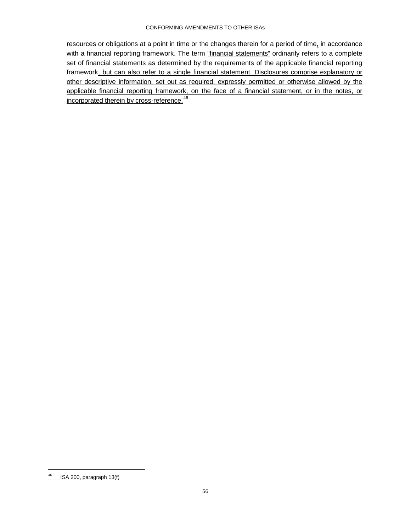#### CONFORMING AMENDMENTS TO OTHER ISAs

resources or obligations at a point in time or the changes therein for a period of time, in accordance with a financial reporting framework. The term "financial statements" ordinarily refers to a complete set of financial statements as determined by the requirements of the applicable financial reporting framework, but can also refer to a single financial statement. Disclosures comprise explanatory or other descriptive information, set out as required, expressly permitted or otherwise allowed by the applicable financial reporting framework, on the face of a financial statement, or in the notes, or incorporated therein by cross-reference.<sup>[46](#page-55-0)</sup>

<span id="page-55-0"></span> $46$  ISA 200, paragraph 13(f)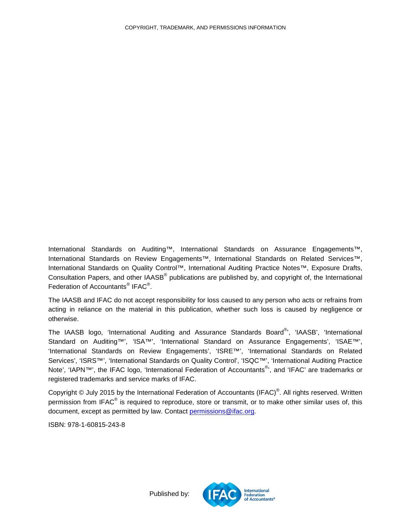International Standards on Auditing™, International Standards on Assurance Engagements™, International Standards on Review Engagements™, International Standards on Related Services™, International Standards on Quality Control™, International Auditing Practice Notes™, Exposure Drafts, Consultation Papers, and other IAASB® publications are published by, and copyright of, the International Federation of Accountants<sup>®</sup> IFAC<sup>®</sup>.

The IAASB and IFAC do not accept responsibility for loss caused to any person who acts or refrains from acting in reliance on the material in this publication, whether such loss is caused by negligence or otherwise.

The IAASB logo, 'International Auditing and Assurance Standards Board®, 'IAASB', 'International Standard on Auditing™', 'ISA™', 'International Standard on Assurance Engagements', 'ISAE™', 'International Standards on Review Engagements', 'ISRE™', 'International Standards on Related Services', 'ISRS™', 'International Standards on Quality Control', 'ISQC™', 'International Auditing Practice Note', 'IAPN™', the IFAC logo, 'International Federation of Accountants<sup>®</sup>', and 'IFAC' are trademarks or registered trademarks and service marks of IFAC.

<span id="page-56-0"></span>Copyright © July 2015 by the International Federation of Accountants (IFAC)®. All rights reserved. Written permission from IFAC<sup>®</sup> is required to reproduce, store or transmit, or to make other similar uses of, this document, except as permitted by law. Contact [permissions@ifac.org.](mailto:permissions@ifac.org)

ISBN: 978-1-60815-243-8